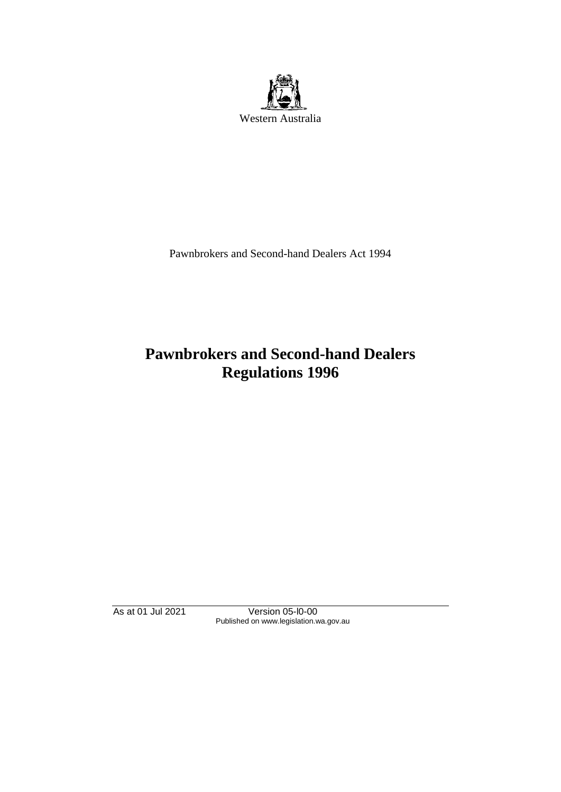

Pawnbrokers and Second-hand Dealers Act 1994

# **Pawnbrokers and Second-hand Dealers Regulations 1996**

As at 01 Jul 2021 Version 05-l0-00 Published on www.legislation.wa.gov.au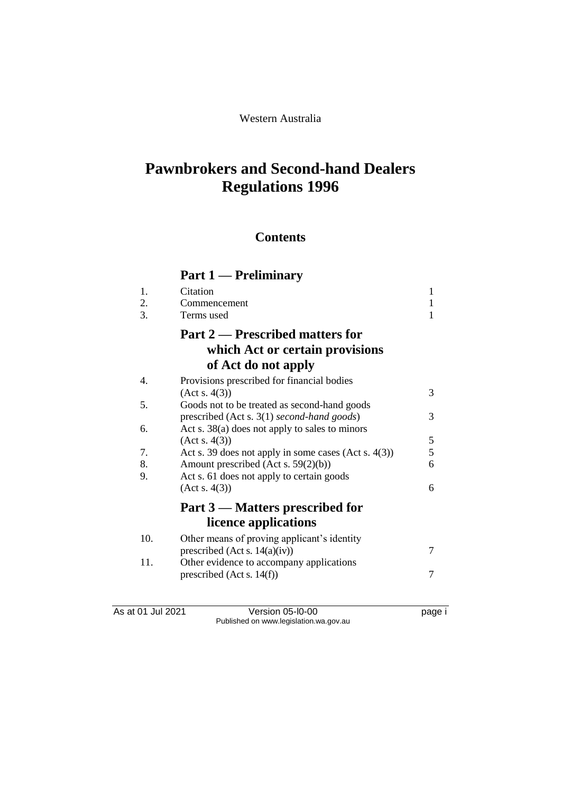### Western Australia

# **Pawnbrokers and Second-hand Dealers Regulations 1996**

## **Contents**

# **Part 1 — Preliminary**

| 1.  | Citation                                                | 1 |
|-----|---------------------------------------------------------|---|
| 2.  | Commencement                                            | 1 |
| 3.  | Terms used                                              | 1 |
|     | <b>Part 2 — Prescribed matters for</b>                  |   |
|     | which Act or certain provisions                         |   |
|     | of Act do not apply                                     |   |
| 4.  | Provisions prescribed for financial bodies              |   |
|     | (Act s. 4(3))                                           | 3 |
| 5.  | Goods not to be treated as second-hand goods            |   |
|     | prescribed (Act s. 3(1) second-hand goods)              | 3 |
| 6.  | Act s. $38(a)$ does not apply to sales to minors        |   |
|     | (Act s. 4(3))                                           | 5 |
| 7.  | Act s. 39 does not apply in some cases (Act s. $4(3)$ ) | 5 |
| 8.  | Amount prescribed (Act s. 59(2)(b))                     | 6 |
| 9.  | Act s. 61 does not apply to certain goods               |   |
|     | (Acts. 4(3))                                            | 6 |
|     | Part 3 – Matters prescribed for                         |   |
|     | licence applications                                    |   |
|     |                                                         |   |
| 10. | Other means of proving applicant's identity             |   |
|     | prescribed (Act s. $14(a)(iv)$ )                        | 7 |
| 11. | Other evidence to accompany applications                |   |
|     | prescribed (Act s. $14(f)$ )                            | 7 |
|     |                                                         |   |

As at 01 Jul 2021 Version 05-l0-00 page i Published on www.legislation.wa.gov.au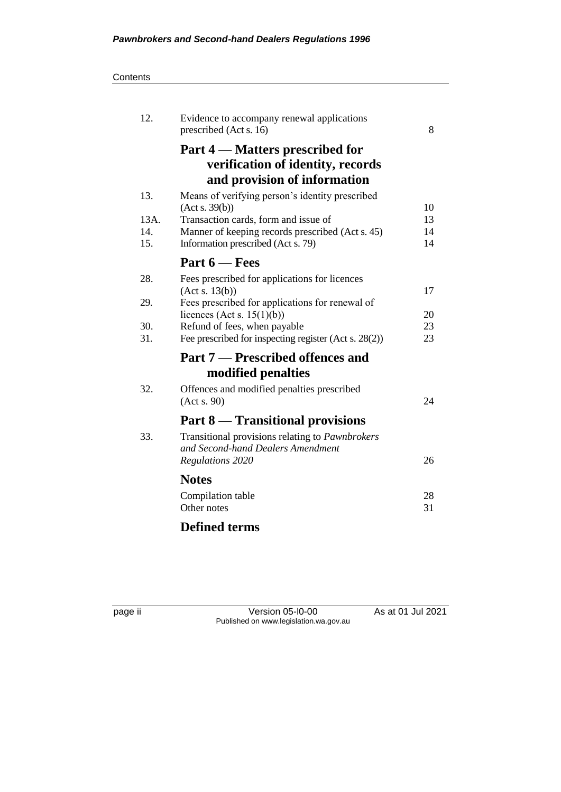#### **Contents**

| 12.  | Evidence to accompany renewal applications<br>prescribed (Act s. 16) | 8  |
|------|----------------------------------------------------------------------|----|
|      | Part 4 — Matters prescribed for                                      |    |
|      | verification of identity, records                                    |    |
|      | and provision of information                                         |    |
| 13.  | Means of verifying person's identity prescribed                      |    |
|      | (Act s. 39(b))                                                       | 10 |
| 13A. | Transaction cards, form and issue of                                 | 13 |
| 14.  | Manner of keeping records prescribed (Act s. 45)                     | 14 |
| 15.  | Information prescribed (Act s. 79)                                   | 14 |
|      | Part $6$ – Fees                                                      |    |
| 28.  | Fees prescribed for applications for licences                        |    |
|      | (Act s. 13(b))                                                       | 17 |
| 29.  | Fees prescribed for applications for renewal of                      |    |
|      | licences (Act s. $15(1)(b)$ )                                        | 20 |
| 30.  | Refund of fees, when payable                                         | 23 |
| 31.  | Fee prescribed for inspecting register (Act s. 28(2))                | 23 |
|      | Part 7 – Prescribed offences and                                     |    |
|      | modified penalties                                                   |    |
| 32.  | Offences and modified penalties prescribed                           |    |
|      | (Acts. 90)                                                           | 24 |
|      | <b>Part 8 — Transitional provisions</b>                              |    |
| 33.  | Transitional provisions relating to Pawnbrokers                      |    |
|      | and Second-hand Dealers Amendment                                    |    |
|      | Regulations 2020                                                     | 26 |
|      | <b>Notes</b>                                                         |    |
|      | Compilation table                                                    | 28 |
|      | Other notes                                                          | 31 |
|      |                                                                      |    |
|      | <b>Defined terms</b>                                                 |    |

page ii Version 05-l0-00 As at 01 Jul 2021 Published on www.legislation.wa.gov.au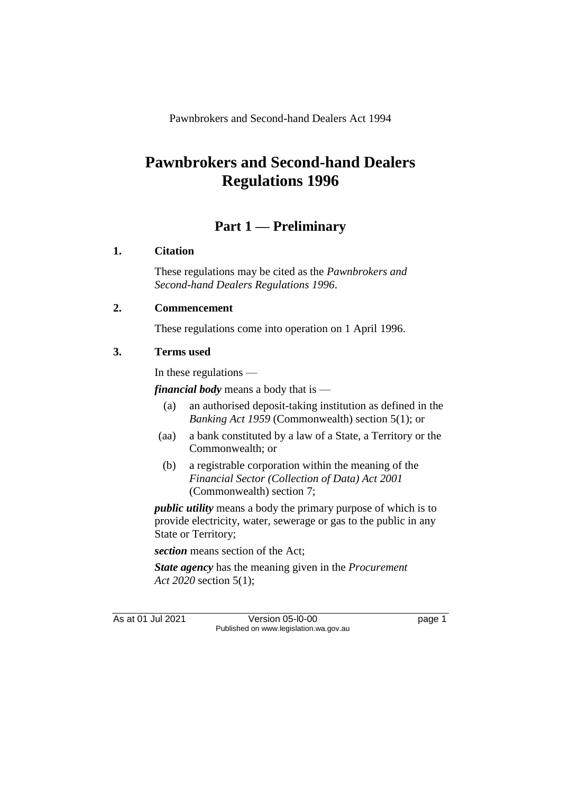Pawnbrokers and Second-hand Dealers Act 1994

# **Pawnbrokers and Second-hand Dealers Regulations 1996**

## **Part 1 — Preliminary**

### **1. Citation**

These regulations may be cited as the *Pawnbrokers and Second-hand Dealers Regulations 1996*.

### **2. Commencement**

These regulations come into operation on 1 April 1996.

### **3. Terms used**

In these regulations —

*financial body* means a body that is —

- (a) an authorised deposit-taking institution as defined in the *Banking Act 1959* (Commonwealth) section 5(1); or
- (aa) a bank constituted by a law of a State, a Territory or the Commonwealth; or
- (b) a registrable corporation within the meaning of the *Financial Sector (Collection of Data) Act 2001* (Commonwealth) section 7;

*public utility* means a body the primary purpose of which is to provide electricity, water, sewerage or gas to the public in any State or Territory;

*section* means section of the Act;

*State agency* has the meaning given in the *Procurement Act 2020* section 5(1);

As at 01 Jul 2021 **Version 05-l0-00 page 1** Published on www.legislation.wa.gov.au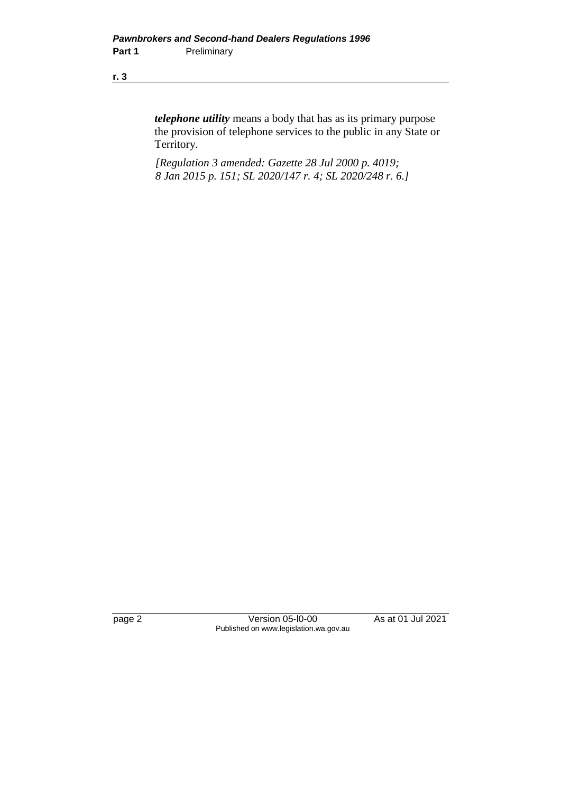*telephone utility* means a body that has as its primary purpose the provision of telephone services to the public in any State or Territory.

*[Regulation 3 amended: Gazette 28 Jul 2000 p. 4019; 8 Jan 2015 p. 151; SL 2020/147 r. 4; SL 2020/248 r. 6.]*

page 2 Version 05-l0-00 As at 01 Jul 2021 Published on www.legislation.wa.gov.au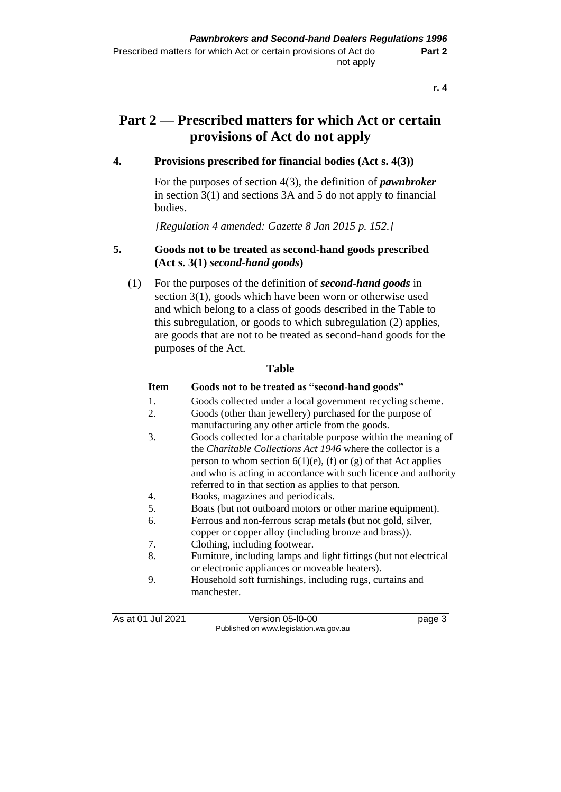# **Part 2 — Prescribed matters for which Act or certain provisions of Act do not apply**

### **4. Provisions prescribed for financial bodies (Act s. 4(3))**

For the purposes of section 4(3), the definition of *pawnbroker* in section 3(1) and sections 3A and 5 do not apply to financial bodies.

*[Regulation 4 amended: Gazette 8 Jan 2015 p. 152.]*

### **5. Goods not to be treated as second-hand goods prescribed (Act s. 3(1)** *second-hand goods***)**

(1) For the purposes of the definition of *second-hand goods* in section 3(1), goods which have been worn or otherwise used and which belong to a class of goods described in the Table to this subregulation, or goods to which subregulation (2) applies, are goods that are not to be treated as second-hand goods for the purposes of the Act.

#### **Table**

#### **Item Goods not to be treated as "second-hand goods"**

- 1. Goods collected under a local government recycling scheme.
- 2. Goods (other than jewellery) purchased for the purpose of manufacturing any other article from the goods.
- 3. Goods collected for a charitable purpose within the meaning of the *Charitable Collections Act 1946* where the collector is a person to whom section  $6(1)(e)$ , (f) or (g) of that Act applies and who is acting in accordance with such licence and authority referred to in that section as applies to that person.
- 4. Books, magazines and periodicals.
- 5. Boats (but not outboard motors or other marine equipment).
- 6. Ferrous and non-ferrous scrap metals (but not gold, silver,
	- copper or copper alloy (including bronze and brass)).
- 7. Clothing, including footwear.
- 8. Furniture, including lamps and light fittings (but not electrical or electronic appliances or moveable heaters).
- 9. Household soft furnishings, including rugs, curtains and manchester.

As at 01 Jul 2021 **Version 05-l0-00 page 3** Published on www.legislation.wa.gov.au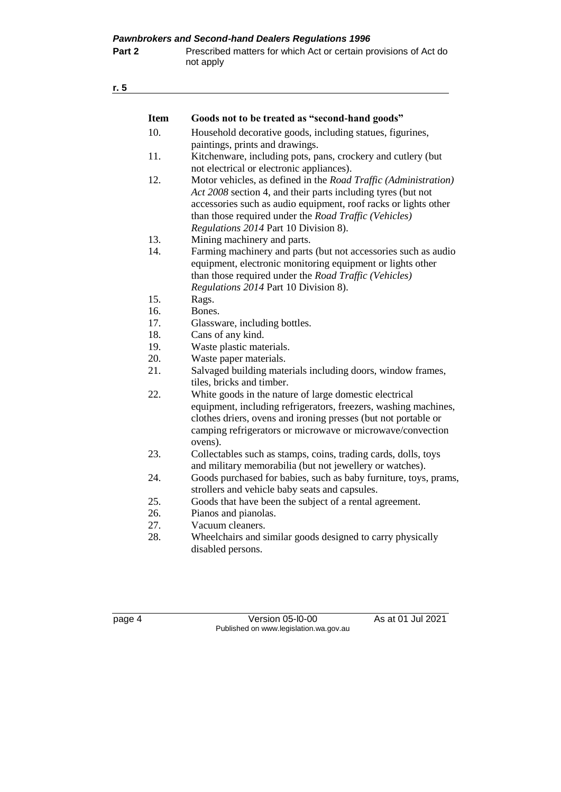| <b>Item</b> | Goods not to be treated as "second-hand goods"                                                                                                                                                                                                                                                                                                    |
|-------------|---------------------------------------------------------------------------------------------------------------------------------------------------------------------------------------------------------------------------------------------------------------------------------------------------------------------------------------------------|
| 10.         | Household decorative goods, including statues, figurines,<br>paintings, prints and drawings.                                                                                                                                                                                                                                                      |
| 11.         | Kitchenware, including pots, pans, crockery and cutlery (but                                                                                                                                                                                                                                                                                      |
| 12.         | not electrical or electronic appliances).<br>Motor vehicles, as defined in the Road Traffic (Administration)<br>Act 2008 section 4, and their parts including tyres (but not<br>accessories such as audio equipment, roof racks or lights other<br>than those required under the Road Traffic (Vehicles)<br>Regulations 2014 Part 10 Division 8). |
| 13.         | Mining machinery and parts.                                                                                                                                                                                                                                                                                                                       |
| 14.         | Farming machinery and parts (but not accessories such as audio<br>equipment, electronic monitoring equipment or lights other<br>than those required under the Road Traffic (Vehicles)<br>Regulations 2014 Part 10 Division 8).                                                                                                                    |
| 15.         | Rags.                                                                                                                                                                                                                                                                                                                                             |
| 16.         | Bones.                                                                                                                                                                                                                                                                                                                                            |
| 17.         | Glassware, including bottles.                                                                                                                                                                                                                                                                                                                     |
| 18.         | Cans of any kind.                                                                                                                                                                                                                                                                                                                                 |
| 19.         | Waste plastic materials.                                                                                                                                                                                                                                                                                                                          |
| 20.         | Waste paper materials.                                                                                                                                                                                                                                                                                                                            |
| 21.         | Salvaged building materials including doors, window frames,<br>tiles, bricks and timber.                                                                                                                                                                                                                                                          |
| 22.         | White goods in the nature of large domestic electrical<br>equipment, including refrigerators, freezers, washing machines,<br>clothes driers, ovens and ironing presses (but not portable or<br>camping refrigerators or microwave or microwave/convection<br>ovens).                                                                              |
| 23.         | Collectables such as stamps, coins, trading cards, dolls, toys<br>and military memorabilia (but not jewellery or watches).                                                                                                                                                                                                                        |
| 24.         | Goods purchased for babies, such as baby furniture, toys, prams,<br>strollers and vehicle baby seats and capsules.                                                                                                                                                                                                                                |
| 25.         | Goods that have been the subject of a rental agreement.                                                                                                                                                                                                                                                                                           |
| 26.         | Pianos and pianolas.                                                                                                                                                                                                                                                                                                                              |
| 27.         | Vacuum cleaners.                                                                                                                                                                                                                                                                                                                                  |
|             |                                                                                                                                                                                                                                                                                                                                                   |

28. Wheelchairs and similar goods designed to carry physically disabled persons.

page 4 Version 05-l0-00 As at 01 Jul 2021 Published on www.legislation.wa.gov.au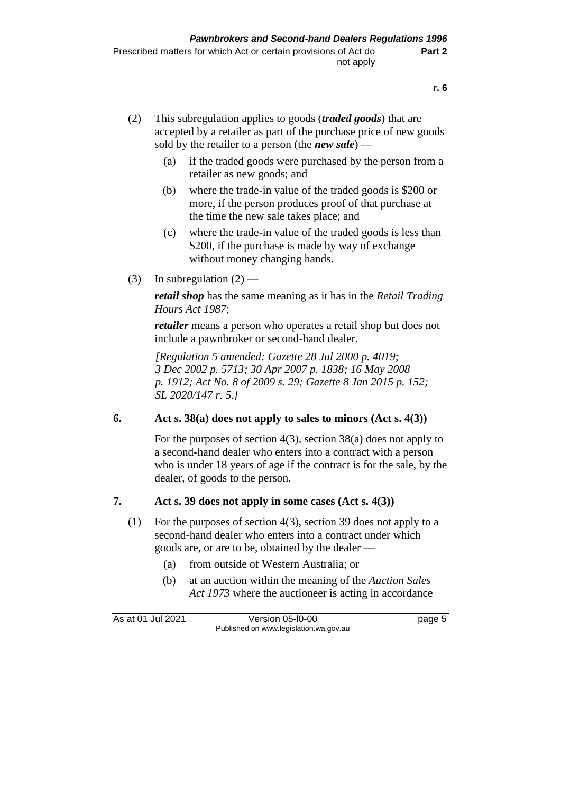- (2) This subregulation applies to goods (*traded goods*) that are accepted by a retailer as part of the purchase price of new goods sold by the retailer to a person (the *new sale*) —
	- (a) if the traded goods were purchased by the person from a retailer as new goods; and
	- (b) where the trade-in value of the traded goods is \$200 or more, if the person produces proof of that purchase at the time the new sale takes place; and
	- (c) where the trade-in value of the traded goods is less than \$200, if the purchase is made by way of exchange without money changing hands.
- (3) In subregulation  $(2)$  —

*retail shop* has the same meaning as it has in the *Retail Trading Hours Act 1987*;

*retailer* means a person who operates a retail shop but does not include a pawnbroker or second-hand dealer.

*[Regulation 5 amended: Gazette 28 Jul 2000 p. 4019; 3 Dec 2002 p. 5713; 30 Apr 2007 p. 1838; 16 May 2008 p. 1912; Act No. 8 of 2009 s. 29; Gazette 8 Jan 2015 p. 152; SL 2020/147 r. 5.]*

#### **6. Act s. 38(a) does not apply to sales to minors (Act s. 4(3))**

For the purposes of section 4(3), section 38(a) does not apply to a second-hand dealer who enters into a contract with a person who is under 18 years of age if the contract is for the sale, by the dealer, of goods to the person.

#### **7. Act s. 39 does not apply in some cases (Act s. 4(3))**

- (1) For the purposes of section 4(3), section 39 does not apply to a second-hand dealer who enters into a contract under which goods are, or are to be, obtained by the dealer —
	- (a) from outside of Western Australia; or
	- (b) at an auction within the meaning of the *Auction Sales Act 1973* where the auctioneer is acting in accordance

As at 01 Jul 2021 **Version 05-l0-00** page 5 Published on www.legislation.wa.gov.au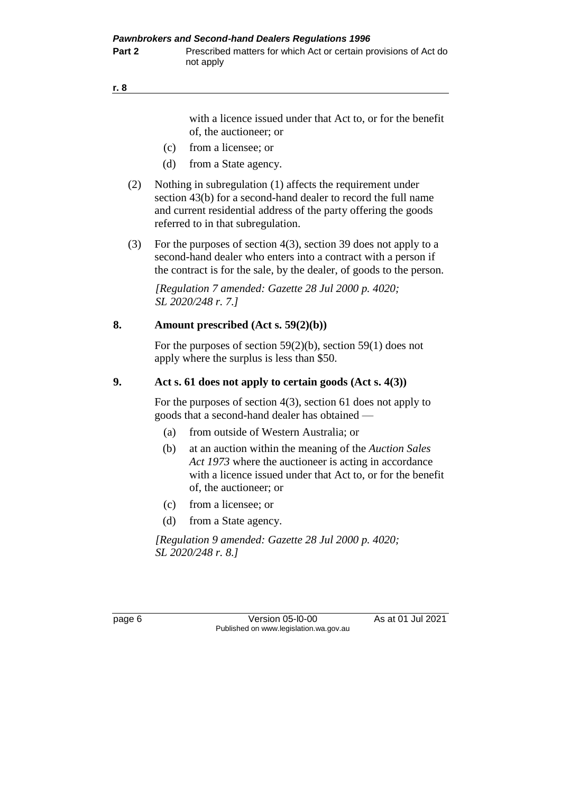with a licence issued under that Act to, or for the benefit of, the auctioneer; or

- (c) from a licensee; or
- (d) from a State agency.
- (2) Nothing in subregulation (1) affects the requirement under section 43(b) for a second-hand dealer to record the full name and current residential address of the party offering the goods referred to in that subregulation.
- (3) For the purposes of section 4(3), section 39 does not apply to a second-hand dealer who enters into a contract with a person if the contract is for the sale, by the dealer, of goods to the person.

*[Regulation 7 amended: Gazette 28 Jul 2000 p. 4020; SL 2020/248 r. 7.]*

#### **8. Amount prescribed (Act s. 59(2)(b))**

For the purposes of section 59(2)(b), section 59(1) does not apply where the surplus is less than \$50.

#### **9. Act s. 61 does not apply to certain goods (Act s. 4(3))**

For the purposes of section 4(3), section 61 does not apply to goods that a second-hand dealer has obtained —

- (a) from outside of Western Australia; or
- (b) at an auction within the meaning of the *Auction Sales Act 1973* where the auctioneer is acting in accordance with a licence issued under that Act to, or for the benefit of, the auctioneer; or
- (c) from a licensee; or
- (d) from a State agency.

*[Regulation 9 amended: Gazette 28 Jul 2000 p. 4020; SL 2020/248 r. 8.]*

page 6 Version 05-l0-00 As at 01 Jul 2021 Published on www.legislation.wa.gov.au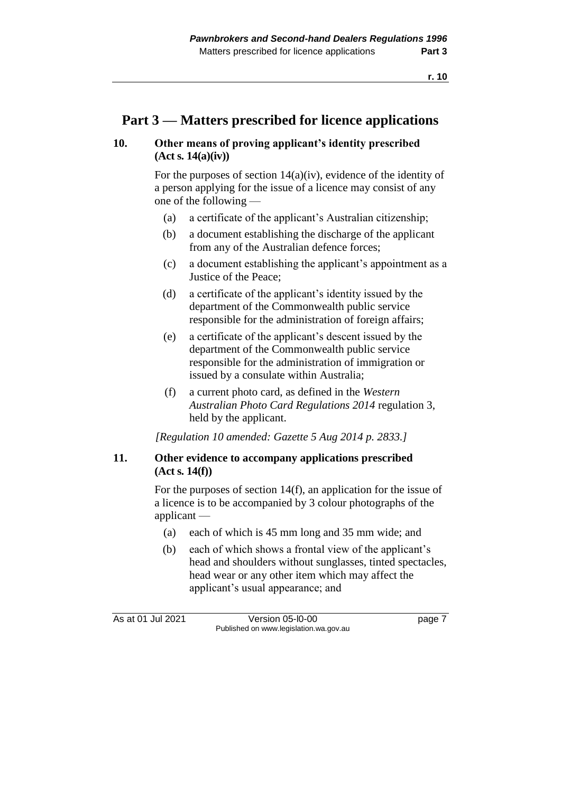### **Part 3 — Matters prescribed for licence applications**

#### **10. Other means of proving applicant's identity prescribed (Act s. 14(a)(iv))**

For the purposes of section 14(a)(iv), evidence of the identity of a person applying for the issue of a licence may consist of any one of the following —

- (a) a certificate of the applicant's Australian citizenship;
- (b) a document establishing the discharge of the applicant from any of the Australian defence forces;
- (c) a document establishing the applicant's appointment as a Justice of the Peace;
- (d) a certificate of the applicant's identity issued by the department of the Commonwealth public service responsible for the administration of foreign affairs;
- (e) a certificate of the applicant's descent issued by the department of the Commonwealth public service responsible for the administration of immigration or issued by a consulate within Australia;
- (f) a current photo card, as defined in the *Western Australian Photo Card Regulations 2014* regulation 3, held by the applicant.

*[Regulation 10 amended: Gazette 5 Aug 2014 p. 2833.]*

#### **11. Other evidence to accompany applications prescribed (Act s. 14(f))**

For the purposes of section 14(f), an application for the issue of a licence is to be accompanied by 3 colour photographs of the applicant —

- (a) each of which is 45 mm long and 35 mm wide; and
- (b) each of which shows a frontal view of the applicant's head and shoulders without sunglasses, tinted spectacles, head wear or any other item which may affect the applicant's usual appearance; and

As at 01 Jul 2021 **Version 05-l0-00 page 7** Published on www.legislation.wa.gov.au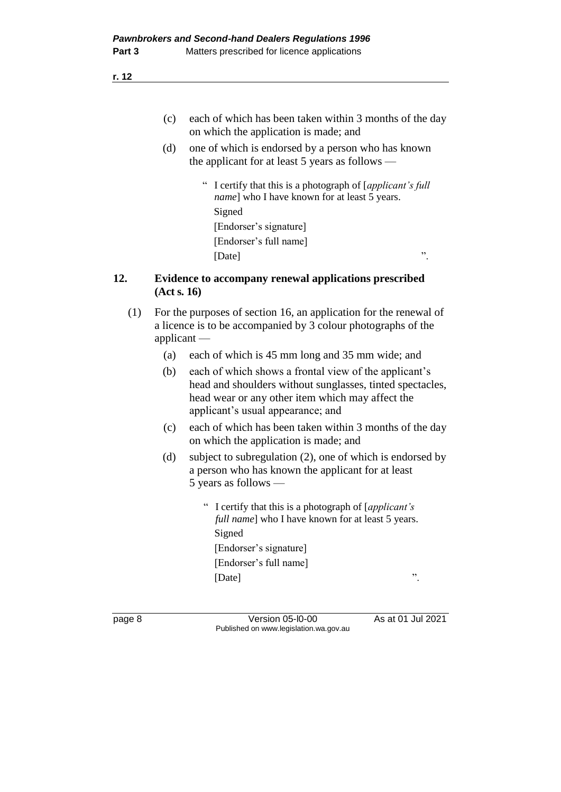- (c) each of which has been taken within 3 months of the day on which the application is made; and
- (d) one of which is endorsed by a person who has known the applicant for at least 5 years as follows —
	- " I certify that this is a photograph of [*applicant's full name*] who I have known for at least 5 years. Signed [Endorser's signature] [Endorser's full name] [Date]  $\qquad$ ".

#### **12. Evidence to accompany renewal applications prescribed (Act s. 16)**

- (1) For the purposes of section 16, an application for the renewal of a licence is to be accompanied by 3 colour photographs of the applicant —
	- (a) each of which is 45 mm long and 35 mm wide; and
	- (b) each of which shows a frontal view of the applicant's head and shoulders without sunglasses, tinted spectacles, head wear or any other item which may affect the applicant's usual appearance; and
	- (c) each of which has been taken within 3 months of the day on which the application is made; and
	- (d) subject to subregulation (2), one of which is endorsed by a person who has known the applicant for at least 5 years as follows —
		- " I certify that this is a photograph of [*applicant's full name*] who I have known for at least 5 years. Signed [Endorser's signature] [Endorser's full name] [Date]  $\qquad$ ".

page 8 Version 05-l0-00 As at 01 Jul 2021 Published on www.legislation.wa.gov.au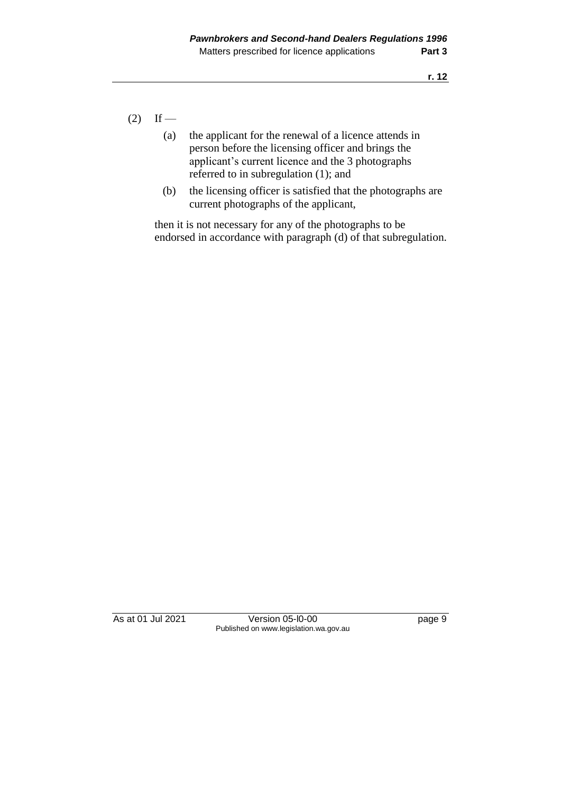- $(2)$  If
	- (a) the applicant for the renewal of a licence attends in person before the licensing officer and brings the applicant's current licence and the 3 photographs referred to in subregulation (1); and
	- (b) the licensing officer is satisfied that the photographs are current photographs of the applicant,

then it is not necessary for any of the photographs to be endorsed in accordance with paragraph (d) of that subregulation.

As at 01 Jul 2021 Version 05-l0-00 page 9 Published on www.legislation.wa.gov.au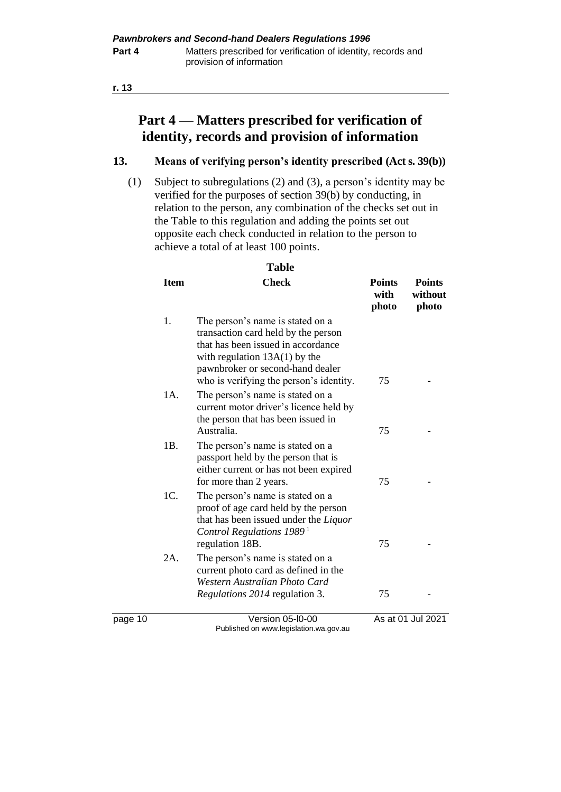## **Part 4 — Matters prescribed for verification of identity, records and provision of information**

#### **13. Means of verifying person's identity prescribed (Act s. 39(b))**

(1) Subject to subregulations (2) and (3), a person's identity may be verified for the purposes of section 39(b) by conducting, in relation to the person, any combination of the checks set out in the Table to this regulation and adding the points set out opposite each check conducted in relation to the person to achieve a total of at least 100 points.

| <b>Item</b> | <b>Check</b>                                                                                                                                                                                                                    | <b>Points</b><br>with<br>photo | <b>Points</b><br>without<br>photo |
|-------------|---------------------------------------------------------------------------------------------------------------------------------------------------------------------------------------------------------------------------------|--------------------------------|-----------------------------------|
| 1.          | The person's name is stated on a<br>transaction card held by the person<br>that has been issued in accordance<br>with regulation $13A(1)$ by the<br>pawnbroker or second-hand dealer<br>who is verifying the person's identity. | 75                             |                                   |
| 1A.         | The person's name is stated on a<br>current motor driver's licence held by<br>the person that has been issued in<br>Australia.                                                                                                  | 75                             |                                   |
| 1B.         | The person's name is stated on a<br>passport held by the person that is<br>either current or has not been expired<br>for more than 2 years.                                                                                     | 75                             |                                   |
| 1C.         | The person's name is stated on a<br>proof of age card held by the person<br>that has been issued under the Liquor<br>Control Regulations 1989 <sup>1</sup><br>regulation 18B.                                                   | 75                             |                                   |
| $2A$ .      | The person's name is stated on a<br>current photo card as defined in the<br>Western Australian Photo Card<br>Regulations 2014 regulation 3.                                                                                     | 75                             |                                   |

page 10 Version 05-l0-00 As at 01 Jul 2021 Published on www.legislation.wa.gov.au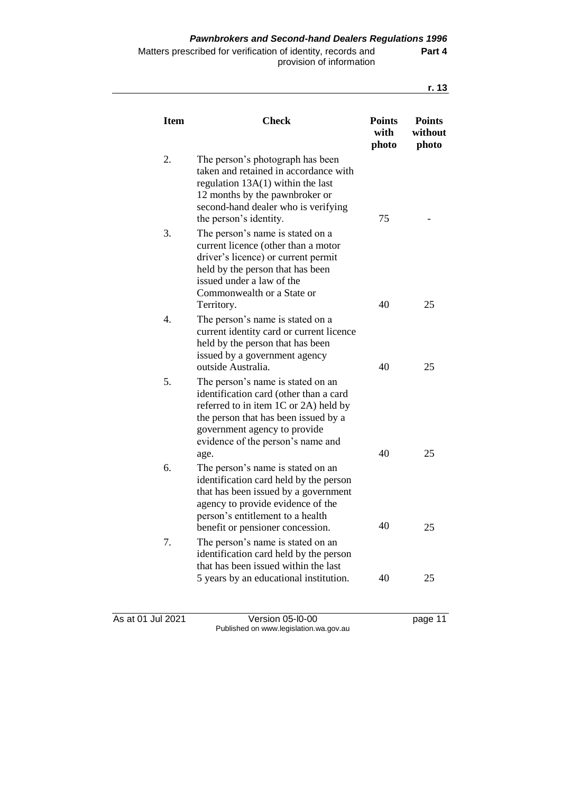| <b>Item</b> | <b>Check</b>                                                                                                                                                                                                                                   | <b>Points</b><br>with<br>photo | <b>Points</b><br>without<br>photo |
|-------------|------------------------------------------------------------------------------------------------------------------------------------------------------------------------------------------------------------------------------------------------|--------------------------------|-----------------------------------|
| 2.          | The person's photograph has been<br>taken and retained in accordance with<br>regulation $13A(1)$ within the last<br>12 months by the pawnbroker or<br>second-hand dealer who is verifying<br>the person's identity.                            | 75                             |                                   |
| 3.          | The person's name is stated on a<br>current licence (other than a motor<br>driver's licence) or current permit<br>held by the person that has been<br>issued under a law of the<br>Commonwealth or a State or<br>Territory.                    | 40                             | 25                                |
| 4.          | The person's name is stated on a<br>current identity card or current licence<br>held by the person that has been<br>issued by a government agency<br>outside Australia.                                                                        | 40                             | 25                                |
| 5.          | The person's name is stated on an<br>identification card (other than a card<br>referred to in item $1C$ or $2A$ ) held by<br>the person that has been issued by a<br>government agency to provide<br>evidence of the person's name and<br>age. | 40                             | 25                                |
| 6.          | The person's name is stated on an<br>identification card held by the person<br>that has been issued by a government<br>agency to provide evidence of the<br>person's entitlement to a health                                                   |                                |                                   |
| 7.          | benefit or pensioner concession.<br>The person's name is stated on an<br>identification card held by the person<br>that has been issued within the last                                                                                        | 40                             | 25                                |
|             | 5 years by an educational institution.                                                                                                                                                                                                         | 40                             | 25                                |

As at 01 Jul 2021 Version 05-l0-00 page 11 Published on www.legislation.wa.gov.au

**r. 13**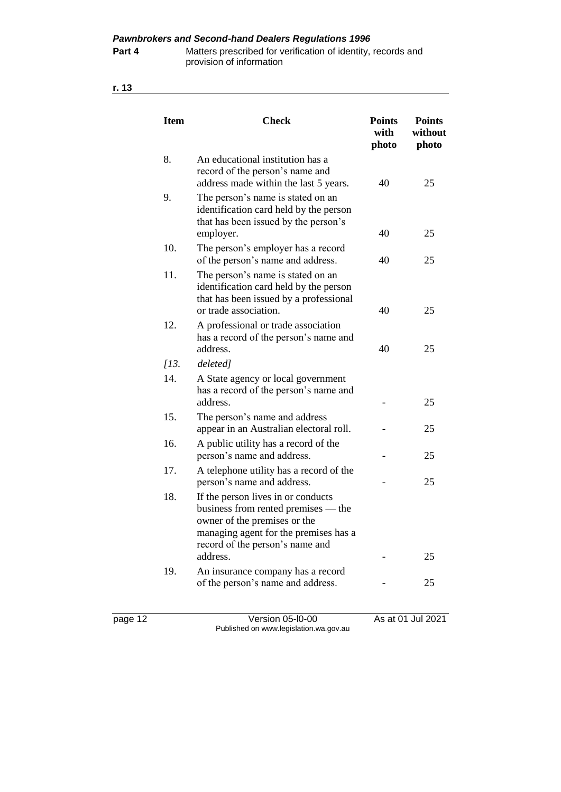*Pawnbrokers and Second-hand Dealers Regulations 1996*

#### **Part 4** Matters prescribed for verification of identity, records and provision of information

| ×.<br>٦<br>×<br>۰, |
|--------------------|
|--------------------|

| <b>Item</b>        | <b>Check</b>                                                                                                                                                                          |    | <b>Points</b><br>with<br>photo |  | <b>Points</b><br>without<br>photo |  |
|--------------------|---------------------------------------------------------------------------------------------------------------------------------------------------------------------------------------|----|--------------------------------|--|-----------------------------------|--|
| 8.                 | An educational institution has a<br>record of the person's name and<br>address made within the last 5 years.                                                                          | 40 | 25                             |  |                                   |  |
| 9.                 | The person's name is stated on an<br>identification card held by the person<br>that has been issued by the person's<br>employer.                                                      | 40 | 25                             |  |                                   |  |
| 10.                | The person's employer has a record<br>of the person's name and address.                                                                                                               | 40 | 25                             |  |                                   |  |
| 11.                | The person's name is stated on an<br>identification card held by the person<br>that has been issued by a professional<br>or trade association.                                        | 40 | 25                             |  |                                   |  |
| 12.                | A professional or trade association<br>has a record of the person's name and<br>address.                                                                                              | 40 | 25                             |  |                                   |  |
| $\overline{113}$ . | deleted]                                                                                                                                                                              |    |                                |  |                                   |  |
| 14.                | A State agency or local government<br>has a record of the person's name and<br>address.                                                                                               |    | 25                             |  |                                   |  |
| 15.                | The person's name and address<br>appear in an Australian electoral roll.                                                                                                              |    | 25                             |  |                                   |  |
| 16.                | A public utility has a record of the<br>person's name and address.                                                                                                                    |    | 25                             |  |                                   |  |
| 17.                | A telephone utility has a record of the<br>person's name and address.                                                                                                                 |    | 25                             |  |                                   |  |
| 18.                | If the person lives in or conducts<br>business from rented premises — the<br>owner of the premises or the<br>managing agent for the premises has a<br>record of the person's name and |    |                                |  |                                   |  |
|                    | address.                                                                                                                                                                              |    | 25                             |  |                                   |  |
| 19.                | An insurance company has a record<br>of the person's name and address.                                                                                                                |    | 25                             |  |                                   |  |

page 12 Version 05-l0-00 As at 01 Jul 2021 Published on www.legislation.wa.gov.au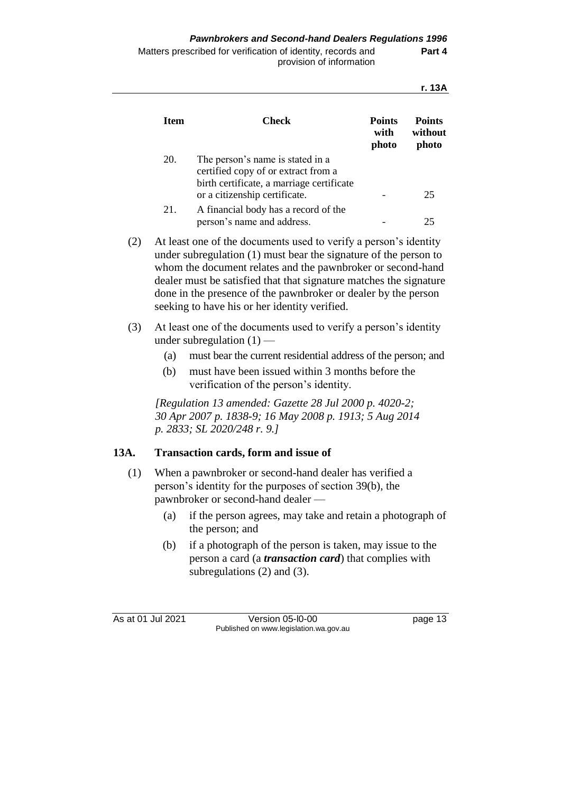| <b>Item</b> | Check                                                                                                                                                 | <b>Points</b><br>with<br>photo | <b>Points</b><br>without<br>photo |
|-------------|-------------------------------------------------------------------------------------------------------------------------------------------------------|--------------------------------|-----------------------------------|
| 20.         | The person's name is stated in a<br>certified copy of or extract from a<br>birth certificate, a marriage certificate<br>or a citizenship certificate. |                                | 25                                |
| 21.         | A financial body has a record of the<br>person's name and address.                                                                                    |                                | 25                                |

- (2) At least one of the documents used to verify a person's identity under subregulation (1) must bear the signature of the person to whom the document relates and the pawnbroker or second-hand dealer must be satisfied that that signature matches the signature done in the presence of the pawnbroker or dealer by the person seeking to have his or her identity verified.
- (3) At least one of the documents used to verify a person's identity under subregulation  $(1)$  —
	- (a) must bear the current residential address of the person; and
	- (b) must have been issued within 3 months before the verification of the person's identity.

*[Regulation 13 amended: Gazette 28 Jul 2000 p. 4020-2; 30 Apr 2007 p. 1838-9; 16 May 2008 p. 1913; 5 Aug 2014 p. 2833; SL 2020/248 r. 9.]*

### **13A. Transaction cards, form and issue of**

- (1) When a pawnbroker or second-hand dealer has verified a person's identity for the purposes of section 39(b), the pawnbroker or second-hand dealer —
	- (a) if the person agrees, may take and retain a photograph of the person; and
	- (b) if a photograph of the person is taken, may issue to the person a card (a *transaction card*) that complies with subregulations (2) and (3).

As at 01 Jul 2021 Version 05-l0-00 page 13 Published on www.legislation.wa.gov.au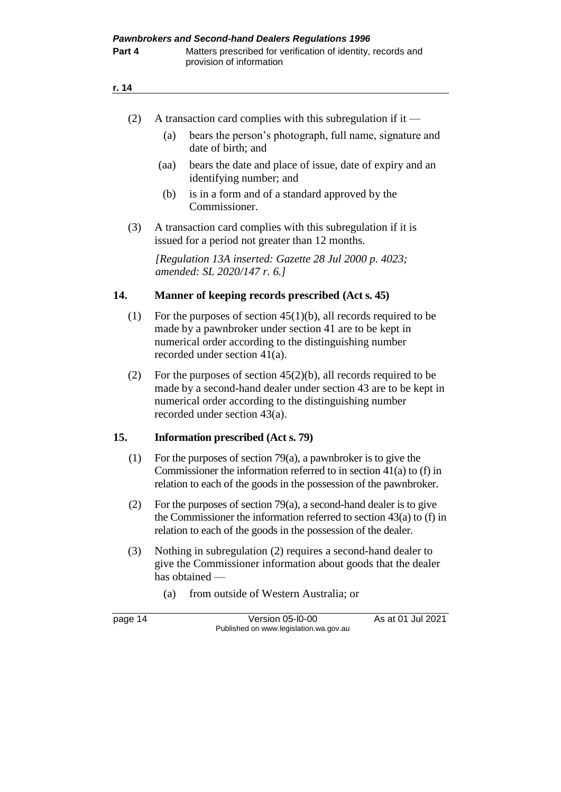|--|

- (a) bears the person's photograph, full name, signature and date of birth; and
- (aa) bears the date and place of issue, date of expiry and an identifying number; and
- (b) is in a form and of a standard approved by the Commissioner.
- (3) A transaction card complies with this subregulation if it is issued for a period not greater than 12 months.

*[Regulation 13A inserted: Gazette 28 Jul 2000 p. 4023; amended: SL 2020/147 r. 6.]*

#### **14. Manner of keeping records prescribed (Act s. 45)**

- (1) For the purposes of section  $45(1)(b)$ , all records required to be made by a pawnbroker under section 41 are to be kept in numerical order according to the distinguishing number recorded under section 41(a).
- (2) For the purposes of section  $45(2)(b)$ , all records required to be made by a second-hand dealer under section 43 are to be kept in numerical order according to the distinguishing number recorded under section 43(a).

#### **15. Information prescribed (Act s. 79)**

- (1) For the purposes of section 79(a), a pawnbroker is to give the Commissioner the information referred to in section 41(a) to (f) in relation to each of the goods in the possession of the pawnbroker.
- (2) For the purposes of section 79(a), a second-hand dealer is to give the Commissioner the information referred to section 43(a) to (f) in relation to each of the goods in the possession of the dealer.
- (3) Nothing in subregulation (2) requires a second-hand dealer to give the Commissioner information about goods that the dealer has obtained —
	- (a) from outside of Western Australia; or

page 14 Version 05-l0-00 As at 01 Jul 2021 Published on www.legislation.wa.gov.au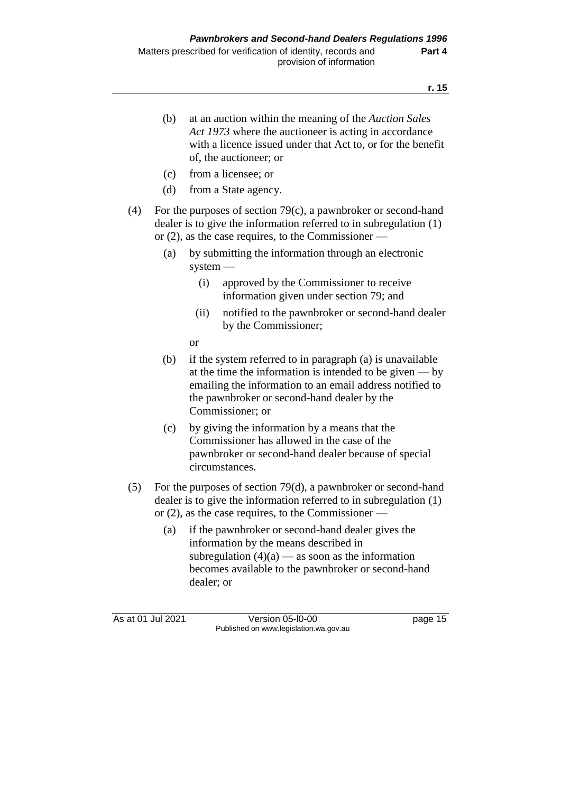(b) at an auction within the meaning of the *Auction Sales Act 1973* where the auctioneer is acting in accordance with a licence issued under that Act to, or for the benefit of, the auctioneer; or (c) from a licensee; or (d) from a State agency. (4) For the purposes of section 79(c), a pawnbroker or second-hand dealer is to give the information referred to in subregulation (1) or (2), as the case requires, to the Commissioner — (a) by submitting the information through an electronic system — (i) approved by the Commissioner to receive information given under section 79; and (ii) notified to the pawnbroker or second-hand dealer by the Commissioner; or (b) if the system referred to in paragraph (a) is unavailable at the time the information is intended to be given — by emailing the information to an email address notified to the pawnbroker or second-hand dealer by the Commissioner; or (c) by giving the information by a means that the Commissioner has allowed in the case of the pawnbroker or second-hand dealer because of special circumstances. (5) For the purposes of section 79(d), a pawnbroker or second-hand dealer is to give the information referred to in subregulation (1) or (2), as the case requires, to the Commissioner — (a) if the pawnbroker or second-hand dealer gives the information by the means described in subregulation  $(4)(a)$  — as soon as the information becomes available to the pawnbroker or second-hand

dealer; or

As at 01 Jul 2021 Version 05-l0-00 page 15 Published on www.legislation.wa.gov.au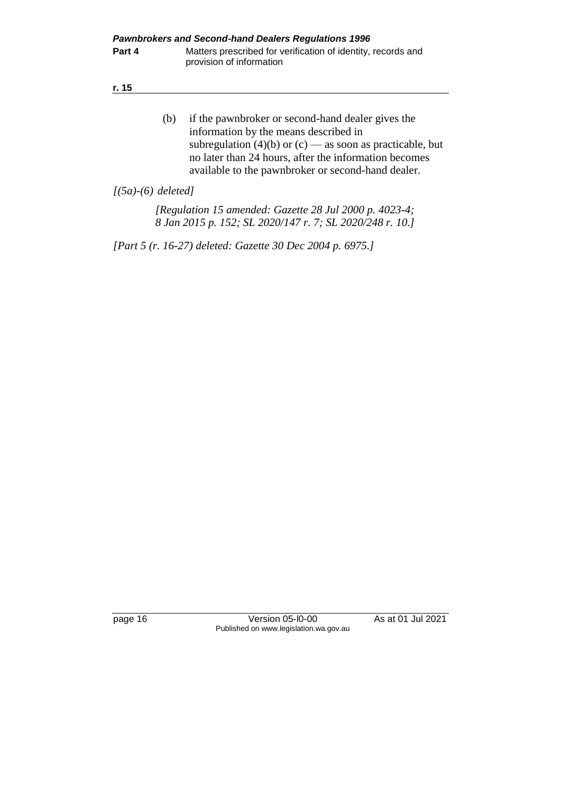| I<br>×<br>۰, |
|--------------|
|--------------|

(b) if the pawnbroker or second-hand dealer gives the information by the means described in subregulation (4)(b) or  $(c)$  — as soon as practicable, but no later than 24 hours, after the information becomes available to the pawnbroker or second-hand dealer.

*[(5a)-(6) deleted]*

*[Regulation 15 amended: Gazette 28 Jul 2000 p. 4023-4; 8 Jan 2015 p. 152; SL 2020/147 r. 7; SL 2020/248 r. 10.]*

*[Part 5 (r. 16-27) deleted: Gazette 30 Dec 2004 p. 6975.]*

page 16 **Version 05-l0-00** As at 01 Jul 2021 Published on www.legislation.wa.gov.au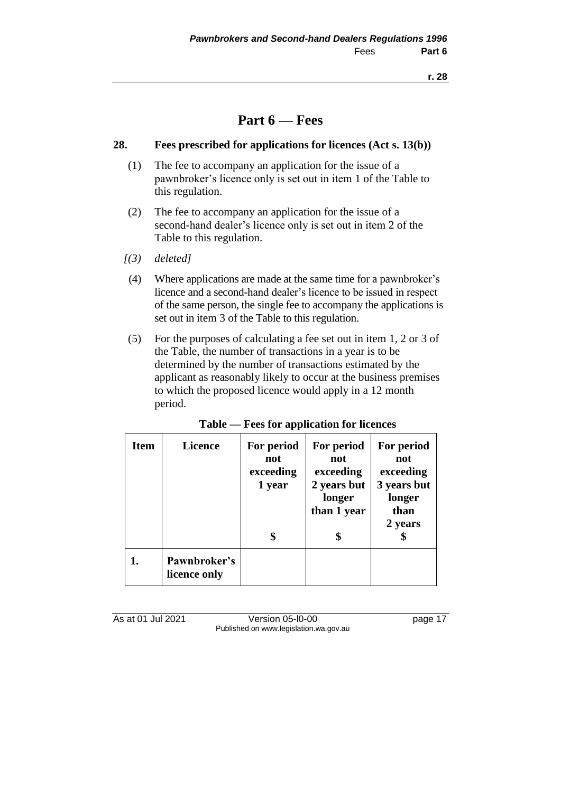### **Part 6 — Fees**

#### **28. Fees prescribed for applications for licences (Act s. 13(b))**

- (1) The fee to accompany an application for the issue of a pawnbroker's licence only is set out in item 1 of the Table to this regulation.
- (2) The fee to accompany an application for the issue of a second-hand dealer's licence only is set out in item 2 of the Table to this regulation.
- *[(3) deleted]*
- (4) Where applications are made at the same time for a pawnbroker's licence and a second-hand dealer's licence to be issued in respect of the same person, the single fee to accompany the applications is set out in item 3 of the Table to this regulation.
- (5) For the purposes of calculating a fee set out in item 1, 2 or 3 of the Table, the number of transactions in a year is to be determined by the number of transactions estimated by the applicant as reasonably likely to occur at the business premises to which the proposed licence would apply in a 12 month period.

| <b>Item</b> | <b>Licence</b>               | For period<br>not<br>exceeding<br>1 year | For period<br>not<br>exceeding<br>2 years but<br>longer<br>than 1 year | For period<br>not<br>exceeding<br>3 years but<br>longer<br>than<br>2 years |
|-------------|------------------------------|------------------------------------------|------------------------------------------------------------------------|----------------------------------------------------------------------------|
|             | Pawnbroker's<br>licence only |                                          |                                                                        |                                                                            |

#### **Table — Fees for application for licences**

As at 01 Jul 2021 **Version 05-l0-00** page 17 Published on www.legislation.wa.gov.au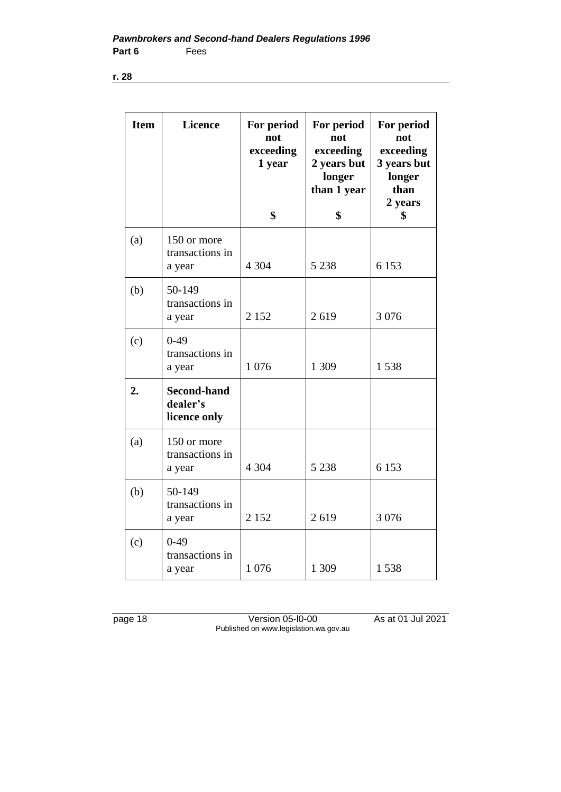| <b>Item</b> | <b>Licence</b>                                 | For period<br>not<br>exceeding<br>1 year<br>\$ | For period<br>not<br>exceeding<br>2 years but<br>longer<br>than 1 year<br>\$ | For period<br>not<br>exceeding<br>3 years but<br>longer<br>than<br>2 years<br>\$ |
|-------------|------------------------------------------------|------------------------------------------------|------------------------------------------------------------------------------|----------------------------------------------------------------------------------|
|             |                                                |                                                |                                                                              |                                                                                  |
| (a)         | 150 or more<br>transactions in<br>a year       | 4 3 0 4                                        | 5 2 3 8                                                                      | 6 1 5 3                                                                          |
| (b)         | 50-149                                         |                                                |                                                                              |                                                                                  |
|             | transactions in<br>a year                      | 2 1 5 2                                        | 2619                                                                         | 3 0 7 6                                                                          |
| (c)         | $0-49$<br>transactions in<br>a year            | 1 0 7 6                                        | 1 309                                                                        | 1538                                                                             |
| 2.          | <b>Second-hand</b><br>dealer's<br>licence only |                                                |                                                                              |                                                                                  |
| (a)         | 150 or more<br>transactions in<br>a year       | 4 3 0 4                                        | 5 2 3 8                                                                      | 6 1 5 3                                                                          |
| (b)         | 50-149<br>transactions in<br>a year            | 2 1 5 2                                        | 2619                                                                         | 3 0 7 6                                                                          |
| (c)         | $0-49$<br>transactions in<br>a year            | 1 0 7 6                                        | 1 309                                                                        | 1538                                                                             |

page 18 Version 05-l0-00 As at 01 Jul 2021 Published on www.legislation.wa.gov.au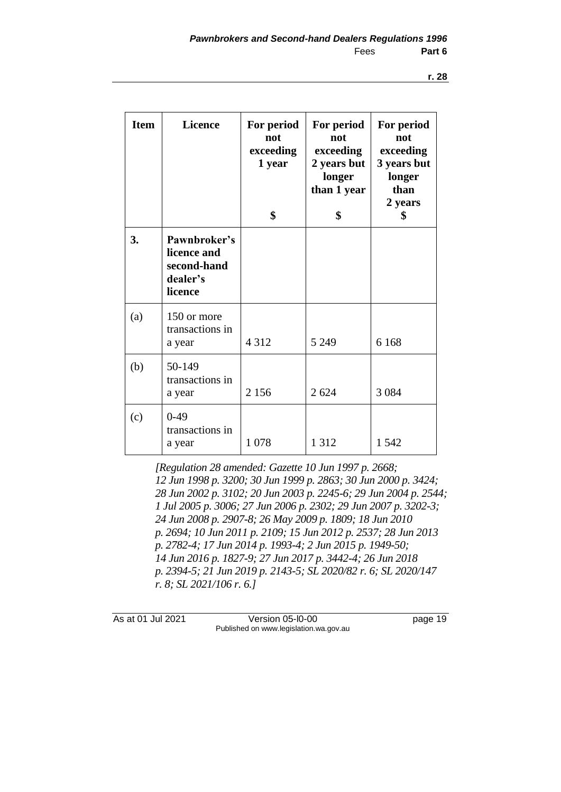| <b>Item</b> | <b>Licence</b>                                                    | For period<br>not<br>exceeding<br>1 year<br>\$ | For period<br>not<br>exceeding<br>2 years but<br>longer<br>than 1 year<br>\$ | For period<br>not<br>exceeding<br>3 years but<br>longer<br>than<br>2 years<br>\$ |
|-------------|-------------------------------------------------------------------|------------------------------------------------|------------------------------------------------------------------------------|----------------------------------------------------------------------------------|
| 3.          | Pawnbroker's<br>licence and<br>second-hand<br>dealer's<br>licence |                                                |                                                                              |                                                                                  |
| (a)         | 150 or more<br>transactions in<br>a year                          | 4 3 1 2                                        | 5 2 4 9                                                                      | 6 1 6 8                                                                          |
| (b)         | 50-149<br>transactions in<br>a year                               | 2 1 5 6                                        | 2 6 2 4                                                                      | 3 0 8 4                                                                          |
| (c)         | $0-49$<br>transactions in<br>a year                               | 1 0 7 8                                        | 1 3 1 2                                                                      | 1 5 4 2                                                                          |

*[Regulation 28 amended: Gazette 10 Jun 1997 p. 2668; 12 Jun 1998 p. 3200; 30 Jun 1999 p. 2863; 30 Jun 2000 p. 3424; 28 Jun 2002 p. 3102; 20 Jun 2003 p. 2245-6; 29 Jun 2004 p. 2544; 1 Jul 2005 p. 3006; 27 Jun 2006 p. 2302; 29 Jun 2007 p. 3202-3; 24 Jun 2008 p. 2907-8; 26 May 2009 p. 1809; 18 Jun 2010 p. 2694; 10 Jun 2011 p. 2109; 15 Jun 2012 p. 2537; 28 Jun 2013 p. 2782-4; 17 Jun 2014 p. 1993-4; 2 Jun 2015 p. 1949-50; 14 Jun 2016 p. 1827-9; 27 Jun 2017 p. 3442-4; 26 Jun 2018 p. 2394-5; 21 Jun 2019 p. 2143-5; SL 2020/82 r. 6; SL 2020/147 r. 8; SL 2021/106 r. 6.]*

As at 01 Jul 2021 Version 05-l0-00 page 19 Published on www.legislation.wa.gov.au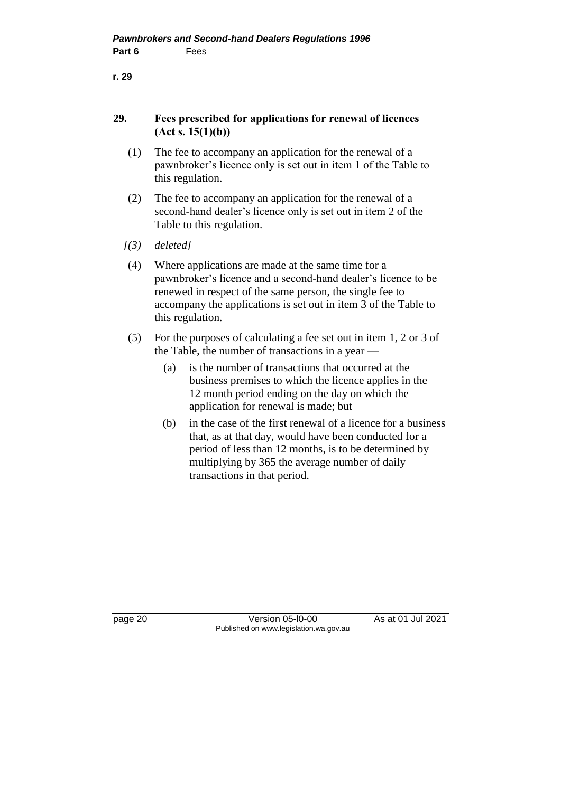| ٠ |
|---|
|   |

#### **29. Fees prescribed for applications for renewal of licences (Act s. 15(1)(b))**

- (1) The fee to accompany an application for the renewal of a pawnbroker's licence only is set out in item 1 of the Table to this regulation.
- (2) The fee to accompany an application for the renewal of a second-hand dealer's licence only is set out in item 2 of the Table to this regulation.
- *[(3) deleted]*
- (4) Where applications are made at the same time for a pawnbroker's licence and a second-hand dealer's licence to be renewed in respect of the same person, the single fee to accompany the applications is set out in item 3 of the Table to this regulation.
- (5) For the purposes of calculating a fee set out in item 1, 2 or 3 of the Table, the number of transactions in a year —
	- (a) is the number of transactions that occurred at the business premises to which the licence applies in the 12 month period ending on the day on which the application for renewal is made; but
	- (b) in the case of the first renewal of a licence for a business that, as at that day, would have been conducted for a period of less than 12 months, is to be determined by multiplying by 365 the average number of daily transactions in that period.

page 20 **Version 05-l0-00** As at 01 Jul 2021 Published on www.legislation.wa.gov.au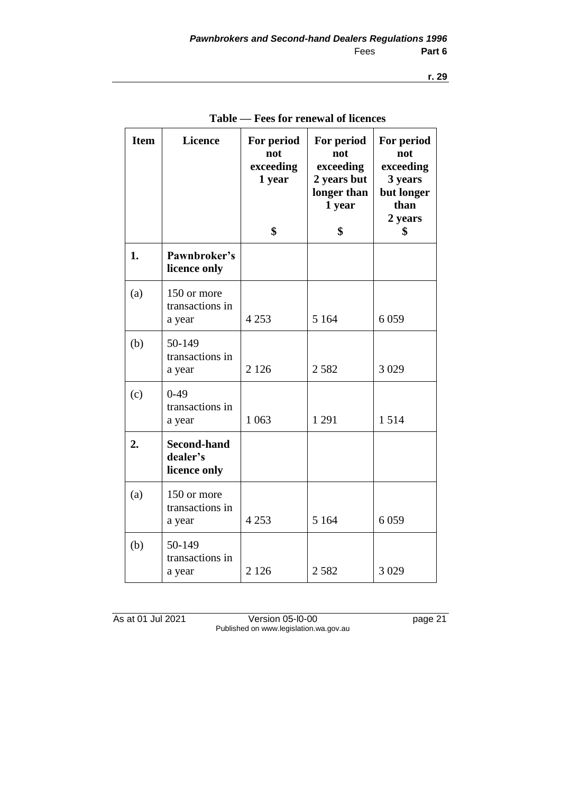| <b>Item</b> | <b>Licence</b>                                 | For period<br>not<br>exceeding<br>1 year<br>\$ | For period<br>not<br>exceeding<br>2 years but<br>longer than<br>1 year<br>\$ | For period<br>not<br>exceeding<br>3 years<br>but longer<br>than<br>2 years<br>\$ |
|-------------|------------------------------------------------|------------------------------------------------|------------------------------------------------------------------------------|----------------------------------------------------------------------------------|
| 1.          | Pawnbroker's<br>licence only                   |                                                |                                                                              |                                                                                  |
| (a)         | 150 or more<br>transactions in<br>a year       | 4 2 5 3                                        | 5 1 6 4                                                                      | 6059                                                                             |
| (b)         | 50-149<br>transactions in<br>a year            | 2 1 2 6                                        | 2582                                                                         | 3 0 29                                                                           |
| (c)         | $0-49$<br>transactions in<br>a year            | 1 0 6 3                                        | 1 2 9 1                                                                      | 1514                                                                             |
| 2.          | <b>Second-hand</b><br>dealer's<br>licence only |                                                |                                                                              |                                                                                  |
| (a)         | 150 or more<br>transactions in<br>a year       | 4 2 5 3                                        | 5 1 6 4                                                                      | 6059                                                                             |
| (b)         | 50-149<br>transactions in<br>a year            | 2 1 2 6                                        | 2582                                                                         | 3 0 29                                                                           |

**Table — Fees for renewal of licences**

As at 01 Jul 2021 Version 05-l0-00 page 21 Published on www.legislation.wa.gov.au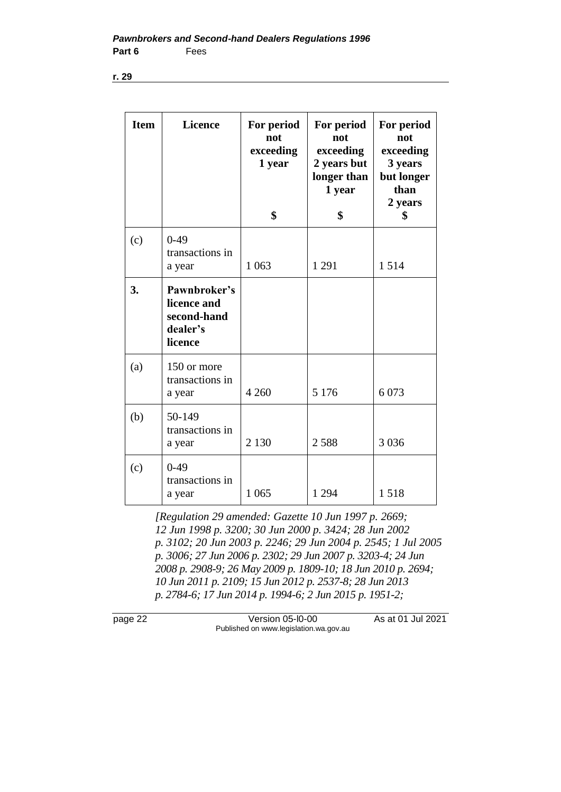| <b>Item</b> | <b>Licence</b>                                                    | For period<br>not<br>exceeding<br>1 year<br>\$ | For period<br>not<br>exceeding<br>2 years but<br>longer than<br>1 year<br>\$ | For period<br>not<br>exceeding<br>3 years<br>but longer<br>than<br>2 years<br>\$ |
|-------------|-------------------------------------------------------------------|------------------------------------------------|------------------------------------------------------------------------------|----------------------------------------------------------------------------------|
| (c)         | $0-49$<br>transactions in<br>a year                               | 1 0 63                                         | 1 2 9 1                                                                      | 1514                                                                             |
| 3.          | Pawnbroker's<br>licence and<br>second-hand<br>dealer's<br>licence |                                                |                                                                              |                                                                                  |
| (a)         | 150 or more<br>transactions in<br>a year                          | 4 2 6 0                                        | 5 1 7 6                                                                      | 6 0 73                                                                           |
| (b)         | 50-149<br>transactions in<br>a year                               | 2 1 3 0                                        | 2588                                                                         | 3 0 3 6                                                                          |
| (c)         | $0-49$<br>transactions in<br>a year                               | 1 0 6 5                                        | 1 2 9 4                                                                      | 1518                                                                             |

*[Regulation 29 amended: Gazette 10 Jun 1997 p. 2669; 12 Jun 1998 p. 3200; 30 Jun 2000 p. 3424; 28 Jun 2002 p. 3102; 20 Jun 2003 p. 2246; 29 Jun 2004 p. 2545; 1 Jul 2005 p. 3006; 27 Jun 2006 p. 2302; 29 Jun 2007 p. 3203-4; 24 Jun 2008 p. 2908-9; 26 May 2009 p. 1809-10; 18 Jun 2010 p. 2694; 10 Jun 2011 p. 2109; 15 Jun 2012 p. 2537-8; 28 Jun 2013 p. 2784-6; 17 Jun 2014 p. 1994-6; 2 Jun 2015 p. 1951-2;* 

page 22 Version 05-l0-00 As at 01 Jul 2021 Published on www.legislation.wa.gov.au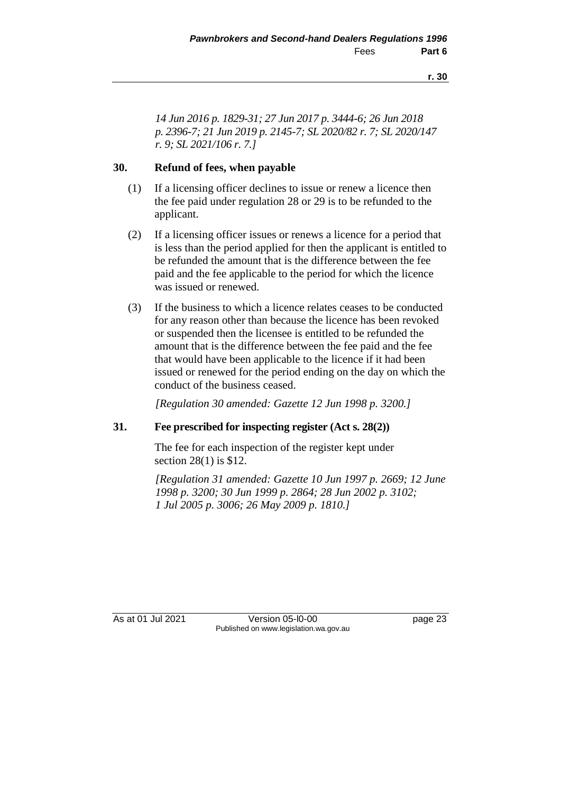*14 Jun 2016 p. 1829-31; 27 Jun 2017 p. 3444-6; 26 Jun 2018 p. 2396-7; 21 Jun 2019 p. 2145-7; SL 2020/82 r. 7; SL 2020/147 r. 9; SL 2021/106 r. 7.]*

#### **30. Refund of fees, when payable**

- (1) If a licensing officer declines to issue or renew a licence then the fee paid under regulation 28 or 29 is to be refunded to the applicant.
- (2) If a licensing officer issues or renews a licence for a period that is less than the period applied for then the applicant is entitled to be refunded the amount that is the difference between the fee paid and the fee applicable to the period for which the licence was issued or renewed.
- (3) If the business to which a licence relates ceases to be conducted for any reason other than because the licence has been revoked or suspended then the licensee is entitled to be refunded the amount that is the difference between the fee paid and the fee that would have been applicable to the licence if it had been issued or renewed for the period ending on the day on which the conduct of the business ceased.

*[Regulation 30 amended: Gazette 12 Jun 1998 p. 3200.]*

#### **31. Fee prescribed for inspecting register (Act s. 28(2))**

The fee for each inspection of the register kept under section 28(1) is \$12.

*[Regulation 31 amended: Gazette 10 Jun 1997 p. 2669; 12 June 1998 p. 3200; 30 Jun 1999 p. 2864; 28 Jun 2002 p. 3102; 1 Jul 2005 p. 3006; 26 May 2009 p. 1810.]*

As at 01 Jul 2021 Version 05-l0-00 bage 23 Published on www.legislation.wa.gov.au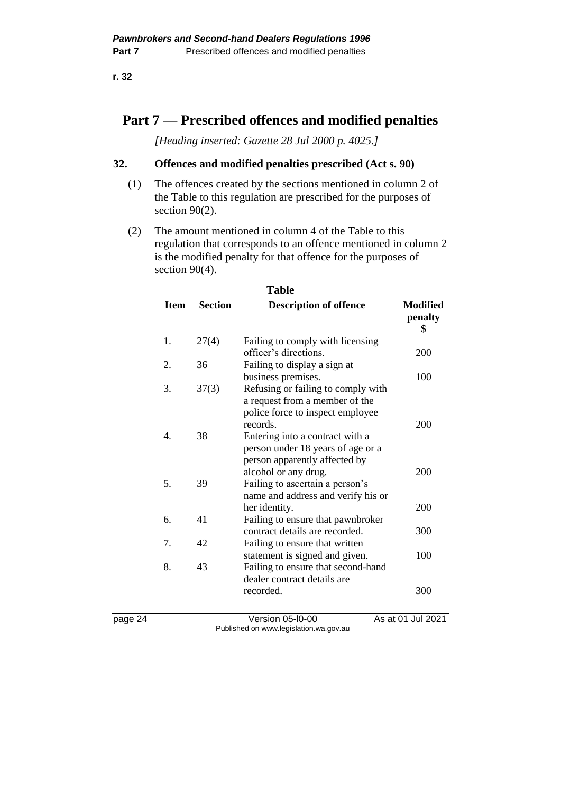### **Part 7 — Prescribed offences and modified penalties**

*[Heading inserted: Gazette 28 Jul 2000 p. 4025.]*

#### **32. Offences and modified penalties prescribed (Act s. 90)**

- (1) The offences created by the sections mentioned in column 2 of the Table to this regulation are prescribed for the purposes of section 90(2).
- (2) The amount mentioned in column 4 of the Table to this regulation that corresponds to an offence mentioned in column 2 is the modified penalty for that offence for the purposes of section 90(4).

| <b>Table</b> |                |                                                                                                                                |                                  |  |
|--------------|----------------|--------------------------------------------------------------------------------------------------------------------------------|----------------------------------|--|
| <b>Item</b>  | <b>Section</b> | <b>Description of offence</b>                                                                                                  | <b>Modified</b><br>penalty<br>\$ |  |
| 1.           | 27(4)          | Failing to comply with licensing<br>officer's directions.                                                                      | 200                              |  |
| 2.           | 36             | Failing to display a sign at                                                                                                   |                                  |  |
| 3.           | 37(3)          | business premises.<br>Refusing or failing to comply with<br>a request from a member of the<br>police force to inspect employee | 100                              |  |
| 4            | 38             | records.<br>Entering into a contract with a<br>person under 18 years of age or a<br>person apparently affected by              | 200                              |  |
| 5.           | 39             | alcohol or any drug.<br>Failing to ascertain a person's<br>name and address and verify his or<br>her identity.                 | 200<br>200                       |  |
| б.           | 41             | Failing to ensure that pawnbroker                                                                                              |                                  |  |
| 7.           | 42             | contract details are recorded.<br>Failing to ensure that written                                                               | 300                              |  |
| 8.           | 43             | statement is signed and given.<br>Failing to ensure that second-hand<br>dealer contract details are<br>recorded.               | 100<br>300                       |  |

page 24 Version 05-l0-00 As at 01 Jul 2021 Published on www.legislation.wa.gov.au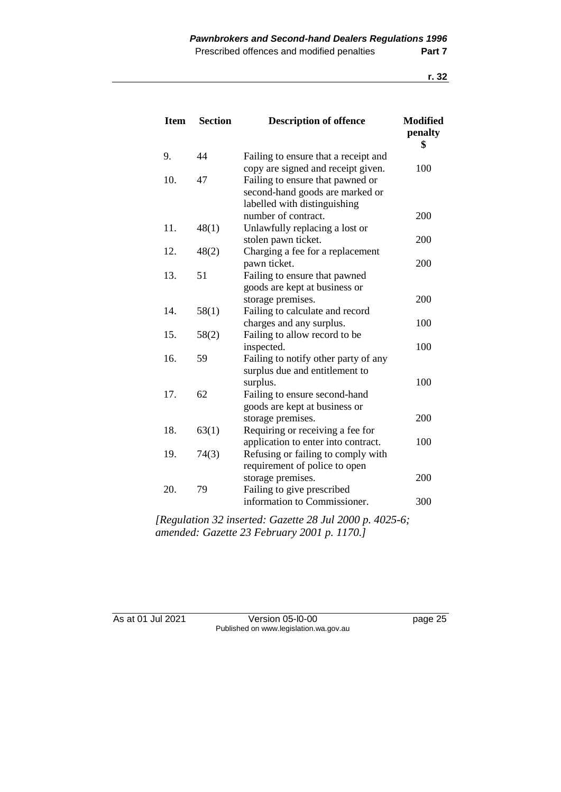| <b>Section</b> | <b>Description of offence</b>                                              | <b>Modified</b><br>penalty<br>\$                                                                                                                                                                                                                                                                                                                                                                                                                                                                                                                                                                                                                                                                                                                                                           |
|----------------|----------------------------------------------------------------------------|--------------------------------------------------------------------------------------------------------------------------------------------------------------------------------------------------------------------------------------------------------------------------------------------------------------------------------------------------------------------------------------------------------------------------------------------------------------------------------------------------------------------------------------------------------------------------------------------------------------------------------------------------------------------------------------------------------------------------------------------------------------------------------------------|
| 44             | Failing to ensure that a receipt and                                       |                                                                                                                                                                                                                                                                                                                                                                                                                                                                                                                                                                                                                                                                                                                                                                                            |
|                | copy are signed and receipt given.                                         | 100                                                                                                                                                                                                                                                                                                                                                                                                                                                                                                                                                                                                                                                                                                                                                                                        |
| 47             | Failing to ensure that pawned or                                           |                                                                                                                                                                                                                                                                                                                                                                                                                                                                                                                                                                                                                                                                                                                                                                                            |
|                |                                                                            |                                                                                                                                                                                                                                                                                                                                                                                                                                                                                                                                                                                                                                                                                                                                                                                            |
|                |                                                                            |                                                                                                                                                                                                                                                                                                                                                                                                                                                                                                                                                                                                                                                                                                                                                                                            |
|                |                                                                            | 200                                                                                                                                                                                                                                                                                                                                                                                                                                                                                                                                                                                                                                                                                                                                                                                        |
|                |                                                                            |                                                                                                                                                                                                                                                                                                                                                                                                                                                                                                                                                                                                                                                                                                                                                                                            |
|                |                                                                            | 200                                                                                                                                                                                                                                                                                                                                                                                                                                                                                                                                                                                                                                                                                                                                                                                        |
|                |                                                                            |                                                                                                                                                                                                                                                                                                                                                                                                                                                                                                                                                                                                                                                                                                                                                                                            |
|                |                                                                            | 200                                                                                                                                                                                                                                                                                                                                                                                                                                                                                                                                                                                                                                                                                                                                                                                        |
|                |                                                                            |                                                                                                                                                                                                                                                                                                                                                                                                                                                                                                                                                                                                                                                                                                                                                                                            |
|                |                                                                            |                                                                                                                                                                                                                                                                                                                                                                                                                                                                                                                                                                                                                                                                                                                                                                                            |
|                |                                                                            | 200                                                                                                                                                                                                                                                                                                                                                                                                                                                                                                                                                                                                                                                                                                                                                                                        |
|                |                                                                            |                                                                                                                                                                                                                                                                                                                                                                                                                                                                                                                                                                                                                                                                                                                                                                                            |
|                |                                                                            | 100                                                                                                                                                                                                                                                                                                                                                                                                                                                                                                                                                                                                                                                                                                                                                                                        |
|                |                                                                            |                                                                                                                                                                                                                                                                                                                                                                                                                                                                                                                                                                                                                                                                                                                                                                                            |
|                |                                                                            | 100                                                                                                                                                                                                                                                                                                                                                                                                                                                                                                                                                                                                                                                                                                                                                                                        |
|                |                                                                            |                                                                                                                                                                                                                                                                                                                                                                                                                                                                                                                                                                                                                                                                                                                                                                                            |
|                |                                                                            | 100                                                                                                                                                                                                                                                                                                                                                                                                                                                                                                                                                                                                                                                                                                                                                                                        |
|                |                                                                            |                                                                                                                                                                                                                                                                                                                                                                                                                                                                                                                                                                                                                                                                                                                                                                                            |
|                |                                                                            |                                                                                                                                                                                                                                                                                                                                                                                                                                                                                                                                                                                                                                                                                                                                                                                            |
|                |                                                                            | 200                                                                                                                                                                                                                                                                                                                                                                                                                                                                                                                                                                                                                                                                                                                                                                                        |
|                |                                                                            |                                                                                                                                                                                                                                                                                                                                                                                                                                                                                                                                                                                                                                                                                                                                                                                            |
|                |                                                                            | 100                                                                                                                                                                                                                                                                                                                                                                                                                                                                                                                                                                                                                                                                                                                                                                                        |
|                |                                                                            |                                                                                                                                                                                                                                                                                                                                                                                                                                                                                                                                                                                                                                                                                                                                                                                            |
|                |                                                                            |                                                                                                                                                                                                                                                                                                                                                                                                                                                                                                                                                                                                                                                                                                                                                                                            |
|                |                                                                            | 200                                                                                                                                                                                                                                                                                                                                                                                                                                                                                                                                                                                                                                                                                                                                                                                        |
|                |                                                                            |                                                                                                                                                                                                                                                                                                                                                                                                                                                                                                                                                                                                                                                                                                                                                                                            |
|                | information to Commissioner.                                               | 300                                                                                                                                                                                                                                                                                                                                                                                                                                                                                                                                                                                                                                                                                                                                                                                        |
|                | 48(1)<br>48(2)<br>51<br>58(1)<br>58(2)<br>59<br>62<br>63(1)<br>74(3)<br>79 | second-hand goods are marked or<br>labelled with distinguishing<br>number of contract.<br>Unlawfully replacing a lost or<br>stolen pawn ticket.<br>Charging a fee for a replacement<br>pawn ticket.<br>Failing to ensure that pawned<br>goods are kept at business or<br>storage premises.<br>Failing to calculate and record<br>charges and any surplus.<br>Failing to allow record to be<br>inspected.<br>Failing to notify other party of any<br>surplus due and entitlement to<br>surplus.<br>Failing to ensure second-hand<br>goods are kept at business or<br>storage premises.<br>Requiring or receiving a fee for<br>application to enter into contract.<br>Refusing or failing to comply with<br>requirement of police to open<br>storage premises.<br>Failing to give prescribed |

*[Regulation 32 inserted: Gazette 28 Jul 2000 p. 4025-6; amended: Gazette 23 February 2001 p. 1170.]*

As at 01 Jul 2021 Version 05-l0-00 page 25 Published on www.legislation.wa.gov.au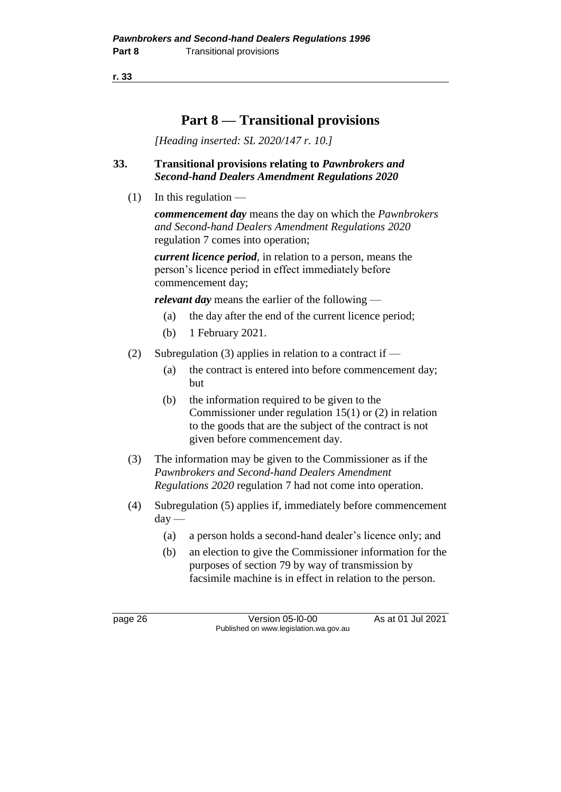# **Part 8 — Transitional provisions**

*[Heading inserted: SL 2020/147 r. 10.]*

#### **33. Transitional provisions relating to** *Pawnbrokers and Second-hand Dealers Amendment Regulations 2020*

 $(1)$  In this regulation —

*commencement day* means the day on which the *Pawnbrokers and Second-hand Dealers Amendment Regulations 2020* regulation 7 comes into operation;

*current licence period*, in relation to a person, means the person's licence period in effect immediately before commencement day;

*relevant day* means the earlier of the following —

- (a) the day after the end of the current licence period;
- (b) 1 February 2021.
- (2) Subregulation (3) applies in relation to a contract if  $-$ 
	- (a) the contract is entered into before commencement day; but
	- (b) the information required to be given to the Commissioner under regulation 15(1) or (2) in relation to the goods that are the subject of the contract is not given before commencement day.
- (3) The information may be given to the Commissioner as if the *Pawnbrokers and Second-hand Dealers Amendment Regulations 2020* regulation 7 had not come into operation.
- (4) Subregulation (5) applies if, immediately before commencement day —
	- (a) a person holds a second-hand dealer's licence only; and
	- (b) an election to give the Commissioner information for the purposes of section 79 by way of transmission by facsimile machine is in effect in relation to the person.

page 26 **Version 05-l0-00** As at 01 Jul 2021 Published on www.legislation.wa.gov.au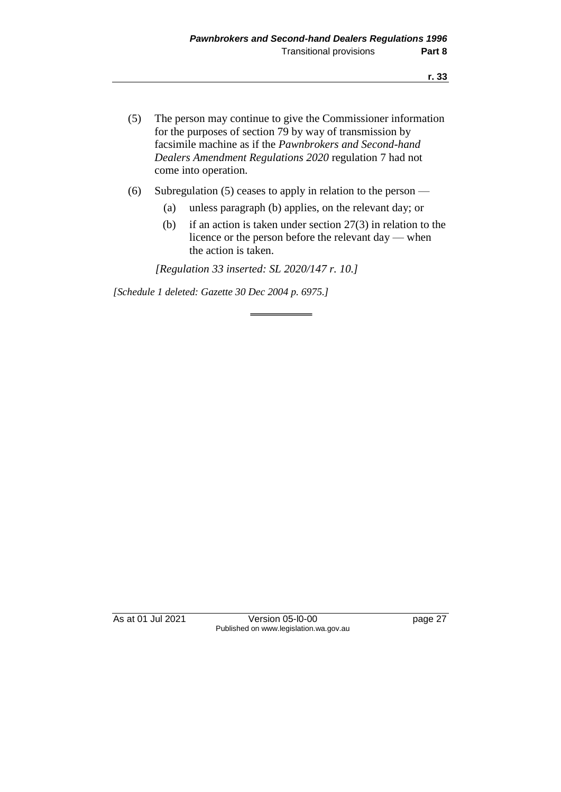- (5) The person may continue to give the Commissioner information for the purposes of section 79 by way of transmission by facsimile machine as if the *Pawnbrokers and Second-hand Dealers Amendment Regulations 2020* regulation 7 had not come into operation.
- (6) Subregulation (5) ceases to apply in relation to the person
	- (a) unless paragraph (b) applies, on the relevant day; or
	- (b) if an action is taken under section 27(3) in relation to the licence or the person before the relevant day — when the action is taken.

*[Regulation 33 inserted: SL 2020/147 r. 10.]*

*[Schedule 1 deleted: Gazette 30 Dec 2004 p. 6975.]*

As at 01 Jul 2021 Version 05-l0-00 page 27 Published on www.legislation.wa.gov.au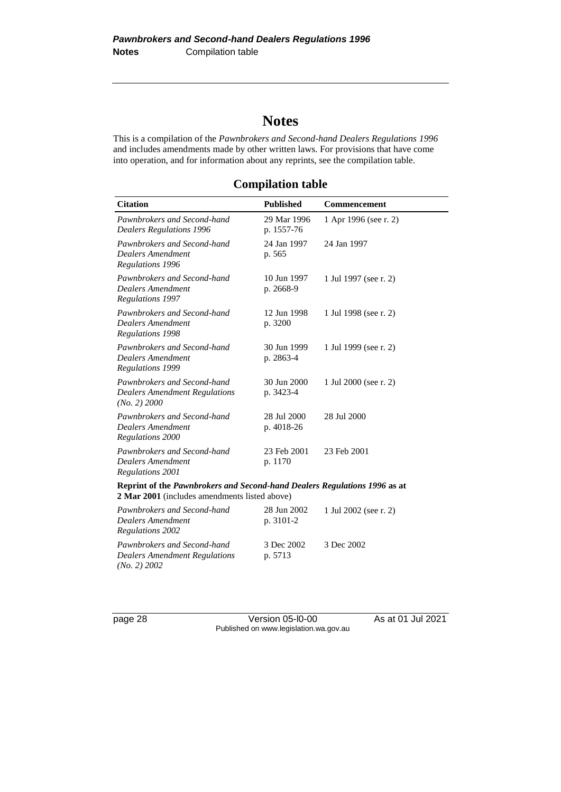# **Notes**

This is a compilation of the *Pawnbrokers and Second-hand Dealers Regulations 1996* and includes amendments made by other written laws. For provisions that have come into operation, and for information about any reprints, see the compilation table.

**Compilation table**

| <b>Citation</b>                                                                                                            | <b>Published</b>          | Commencement          |
|----------------------------------------------------------------------------------------------------------------------------|---------------------------|-----------------------|
| Pawnbrokers and Second-hand<br><b>Dealers Regulations 1996</b>                                                             | 29 Mar 1996<br>p. 1557-76 | 1 Apr 1996 (see r. 2) |
| Pawnbrokers and Second-hand<br>Dealers Amendment<br>Regulations 1996                                                       | 24 Jan 1997<br>p. 565     | 24 Jan 1997           |
| Pawnbrokers and Second-hand<br><b>Dealers Amendment</b><br>Regulations 1997                                                | 10 Jun 1997<br>p. 2668-9  | 1 Jul 1997 (see r. 2) |
| Pawnbrokers and Second-hand<br>Dealers Amendment<br>Regulations 1998                                                       | 12 Jun 1998<br>p. 3200    | 1 Jul 1998 (see r. 2) |
| Pawnbrokers and Second-hand<br>Dealers Amendment<br>Regulations 1999                                                       | 30 Jun 1999<br>p. 2863-4  | 1 Jul 1999 (see r. 2) |
| Pawnbrokers and Second-hand<br><b>Dealers Amendment Regulations</b><br>(No. 2) 2000                                        | 30 Jun 2000<br>p. 3423-4  | 1 Jul 2000 (see r. 2) |
| Pawnbrokers and Second-hand<br>Dealers Amendment<br>Regulations 2000                                                       | 28 Jul 2000<br>p. 4018-26 | 28 Jul 2000           |
| Pawnbrokers and Second-hand<br><b>Dealers Amendment</b><br>Regulations 2001                                                | 23 Feb 2001<br>p. 1170    | 23 Feb 2001           |
| Reprint of the Pawnbrokers and Second-hand Dealers Regulations 1996 as at<br>2 Mar 2001 (includes amendments listed above) |                           |                       |
| Pawnbrokers and Second-hand<br><b>Dealers Amendment</b><br>Regulations 2002                                                | 28 Jun 2002<br>p. 3101-2  | 1 Jul 2002 (see r. 2) |
| Pawnbrokers and Second-hand<br><b>Dealers Amendment Regulations</b>                                                        | 3 Dec 2002<br>p. 5713     | 3 Dec 2002            |

*(No. 2) 2002*

page 28 Version 05-l0-00 As at 01 Jul 2021 Published on www.legislation.wa.gov.au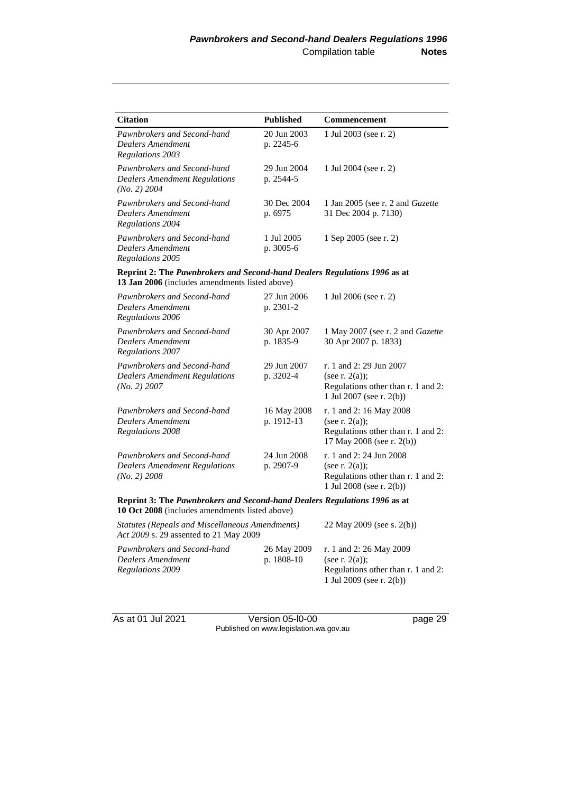| <b>Citation</b>                                                                                                             | <b>Published</b>          | Commencement                                                                                                      |
|-----------------------------------------------------------------------------------------------------------------------------|---------------------------|-------------------------------------------------------------------------------------------------------------------|
| Pawnbrokers and Second-hand<br>Dealers Amendment<br>Regulations 2003                                                        | 20 Jun 2003<br>p. 2245-6  | 1 Jul 2003 (see r. 2)                                                                                             |
| Pawnbrokers and Second-hand<br><b>Dealers Amendment Regulations</b><br>$(No. 2)$ 2004                                       | 29 Jun 2004<br>p. 2544-5  | 1 Jul 2004 (see r. 2)                                                                                             |
| Pawnbrokers and Second-hand<br>Dealers Amendment<br><b>Regulations 2004</b>                                                 | 30 Dec 2004<br>p. 6975    | 1 Jan 2005 (see r. 2 and Gazette<br>31 Dec 2004 p. 7130)                                                          |
| Pawnbrokers and Second-hand<br>Dealers Amendment<br>Regulations 2005                                                        | 1 Jul 2005<br>p. 3005-6   | 1 Sep 2005 (see r. 2)                                                                                             |
| Reprint 2: The Pawnbrokers and Second-hand Dealers Regulations 1996 as at<br>13 Jan 2006 (includes amendments listed above) |                           |                                                                                                                   |
| Pawnbrokers and Second-hand<br>Dealers Amendment<br>Regulations 2006                                                        | 27 Jun 2006<br>p. 2301-2  | 1 Jul 2006 (see r. 2)                                                                                             |
| Pawnbrokers and Second-hand<br>Dealers Amendment<br>Regulations 2007                                                        | 30 Apr 2007<br>p. 1835-9  | 1 May 2007 (see r. 2 and Gazette<br>30 Apr 2007 p. 1833)                                                          |
| Pawnbrokers and Second-hand<br><b>Dealers Amendment Regulations</b><br>(No. 2) 2007                                         | 29 Jun 2007<br>p. 3202-4  | r. 1 and 2: 29 Jun 2007<br>(see r. $2(a)$ );<br>Regulations other than r. 1 and 2:<br>1 Jul 2007 (see r. 2(b))    |
| Pawnbrokers and Second-hand<br>Dealers Amendment<br><b>Regulations 2008</b>                                                 | 16 May 2008<br>p. 1912-13 | r. 1 and 2: 16 May 2008<br>(see r. $2(a)$ );<br>Regulations other than r. 1 and 2:<br>17 May 2008 (see r. 2(b))   |
| Pawnbrokers and Second-hand<br><b>Dealers Amendment Regulations</b><br>$(No. 2)$ 2008                                       | 24 Jun 2008<br>p. 2907-9  | r. 1 and 2: 24 Jun 2008<br>(see r. $2(a)$ );<br>Regulations other than r. 1 and 2:<br>1 Jul 2008 (see r. $2(b)$ ) |
| Reprint 3: The Pawnbrokers and Second-hand Dealers Regulations 1996 as at<br>10 Oct 2008 (includes amendments listed above) |                           |                                                                                                                   |
| <b>Statutes (Repeals and Miscellaneous Amendments)</b><br>Act 2009 s. 29 assented to 21 May 2009                            |                           | 22 May 2009 (see s. 2(b))                                                                                         |
| Pawnbrokers and Second-hand<br>Dealers Amendment<br>Regulations 2009                                                        | 26 May 2009<br>p. 1808-10 | r. 1 and 2:26 May 2009<br>(see r. $2(a)$ );<br>Regulations other than r. 1 and 2:<br>1 Jul 2009 (see r. 2(b))     |

As at 01 Jul 2021 Version 05-l0-00 page 29 Published on www.legislation.wa.gov.au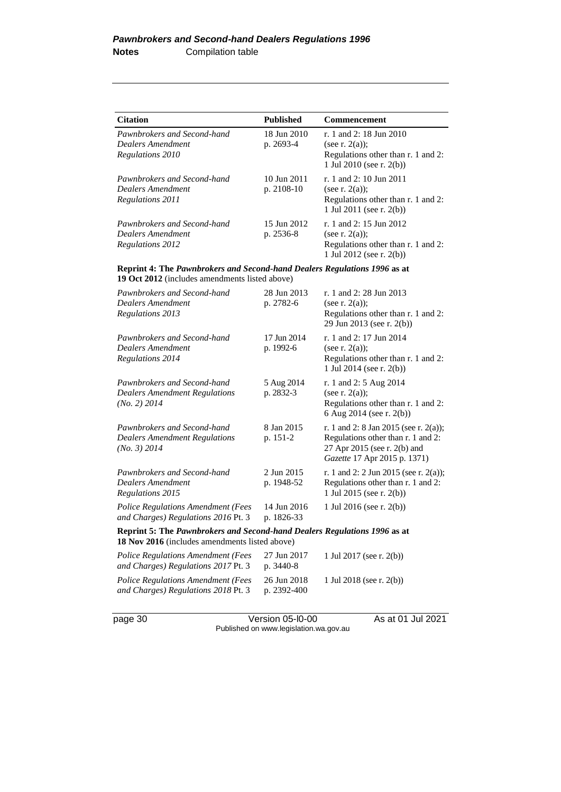| <b>Citation</b>             | <b>Published</b> | <b>Commencement</b>                                               |
|-----------------------------|------------------|-------------------------------------------------------------------|
| Pawnbrokers and Second-hand | 18 Jun 2010      | r. 1 and 2: 18 Jun 2010                                           |
| Dealers Amendment           | p. 2693-4        | (see r. $2(a)$ );                                                 |
| Regulations 2010            |                  | Regulations other than r. 1 and 2:<br>1 Jul 2010 (see r. $2(b)$ ) |
| Pawnbrokers and Second-hand | $10$ Jun $2011$  | r. 1 and 2: 10 Jun 2011                                           |
| Dealers Amendment           | $p. 2108-10$     | (see r. $2(a)$ );                                                 |
| Regulations 2011            |                  | Regulations other than r. 1 and 2:<br>1 Jul 2011 (see r. 2(b))    |
| Pawnbrokers and Second-hand | 15 Jun 2012      | r. 1 and 2: 15 Jun 2012                                           |
| Dealers Amendment           | p. 2536-8        | (see r. $2(a)$ );                                                 |
| Regulations 2012            |                  | Regulations other than r. 1 and 2:<br>1 Jul 2012 (see r. 2(b))    |

#### **Reprint 4: The** *Pawnbrokers and Second-hand Dealers Regulations 1996* **as at 19 Oct 2012** (includes amendments listed above)

| Pawnbrokers and Second-hand<br>Dealers Amendment<br>Regulations 2013                                                        | 28 Jun 2013<br>p. 2782-6   | r. 1 and 2: 28 Jun 2013<br>(see r. $2(a)$ );<br>Regulations other than r. 1 and 2:<br>29 Jun 2013 (see r. 2(b))                             |
|-----------------------------------------------------------------------------------------------------------------------------|----------------------------|---------------------------------------------------------------------------------------------------------------------------------------------|
| Pawnbrokers and Second-hand<br>Dealers Amendment<br>Regulations 2014                                                        | 17 Jun 2014<br>p. 1992-6   | r. 1 and 2: 17 Jun 2014<br>(see r. $2(a)$ );<br>Regulations other than r. 1 and 2:<br>1 Jul 2014 (see r. 2(b))                              |
| Pawnbrokers and Second-hand<br><b>Dealers Amendment Regulations</b><br>(No. 2) 2014                                         | 5 Aug 2014<br>p. 2832-3    | r. 1 and 2: 5 Aug 2014<br>(see r. $2(a)$ );<br>Regulations other than r. 1 and 2:<br>6 Aug 2014 (see r. 2(b))                               |
| Pawnbrokers and Second-hand<br><b>Dealers Amendment Regulations</b><br>(No. 3) 2014                                         | 8 Jan 2015<br>p. 151-2     | r. 1 and 2: 8 Jan 2015 (see r. 2(a));<br>Regulations other than r. 1 and 2:<br>27 Apr 2015 (see r. 2(b) and<br>Gazette 17 Apr 2015 p. 1371) |
| Pawnbrokers and Second-hand<br><b>Dealers Amendment</b><br>Regulations 2015                                                 | 2 Jun 2015<br>p. 1948-52   | r. 1 and 2: 2 Jun 2015 (see r. 2(a));<br>Regulations other than r. 1 and 2:<br>1 Jul 2015 (see r. 2(b))                                     |
| <b>Police Regulations Amendment (Fees</b><br>and Charges) Regulations 2016 Pt. 3                                            | 14 Jun 2016<br>p. 1826-33  | 1 Jul 2016 (see r. 2(b))                                                                                                                    |
| Reprint 5: The Pawnbrokers and Second-hand Dealers Regulations 1996 as at<br>18 Nov 2016 (includes amendments listed above) |                            |                                                                                                                                             |
| <b>Police Regulations Amendment (Fees</b><br>and Charges) Regulations 2017 Pt. 3                                            | 27 Jun 2017<br>p. 3440-8   | 1 Jul 2017 (see r. 2(b))                                                                                                                    |
| <b>Police Regulations Amendment (Fees</b><br>and Charges) Regulations 2018 Pt. 3                                            | 26 Jun 2018<br>p. 2392-400 | 1 Jul 2018 (see r. 2(b))                                                                                                                    |

page 30 Version 05-l0-00 As at 01 Jul 2021 Published on www.legislation.wa.gov.au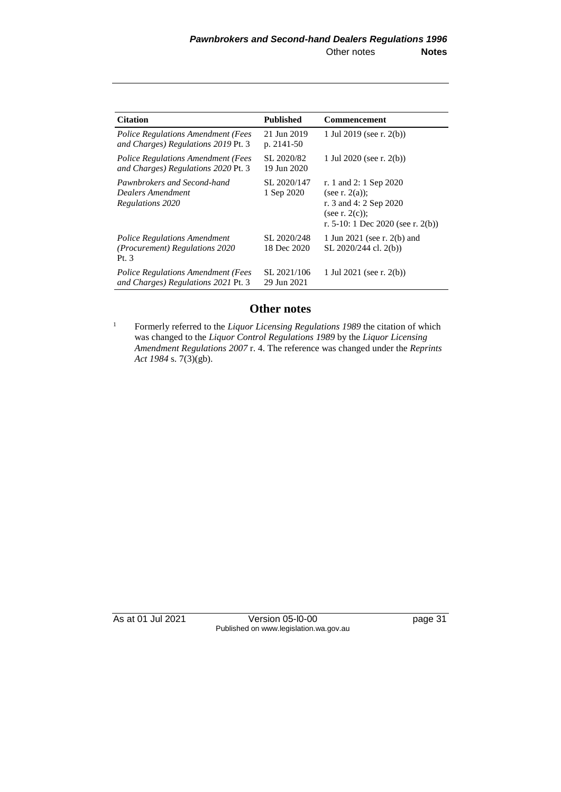| <b>Citation</b>                                                                  | <b>Published</b>           | <b>Commencement</b>                                                                                                             |
|----------------------------------------------------------------------------------|----------------------------|---------------------------------------------------------------------------------------------------------------------------------|
| <b>Police Regulations Amendment (Fees</b><br>and Charges) Regulations 2019 Pt. 3 | 21 Jun 2019<br>p. 2141-50  | 1 Jul 2019 (see r. $2(b)$ )                                                                                                     |
| <b>Police Regulations Amendment (Fees</b><br>and Charges) Regulations 2020 Pt. 3 | SL 2020/82<br>19 Jun 2020  | 1 Jul 2020 (see r. $2(b)$ )                                                                                                     |
| Pawnbrokers and Second-hand<br>Dealers Amendment<br>Regulations 2020             | SL 2020/147<br>1 Sep 2020  | r. 1 and 2: 1 Sep 2020<br>(see r. $2(a)$ );<br>r. 3 and 4: 2 Sep 2020<br>(see r. $2(c)$ );<br>r. 5-10: 1 Dec 2020 (see r. 2(b)) |
| <b>Police Regulations Amendment</b><br>(Procurement) Regulations 2020<br>Pt. 3   | SL 2020/248<br>18 Dec 2020 | 1 Jun 2021 (see r. 2(b) and<br>SL 2020/244 cl. 2(b))                                                                            |
| <b>Police Regulations Amendment (Fees</b><br>and Charges) Regulations 2021 Pt. 3 | SL 2021/106<br>29 Jun 2021 | 1 Jul 2021 (see r. $2(b)$ )                                                                                                     |

### **Other notes**

<sup>1</sup> Formerly referred to the *Liquor Licensing Regulations* 1989 the citation of which was changed to the *Liquor Control Regulations 1989* by the *Liquor Licensing Amendment Regulations 2007* r. 4. The reference was changed under the *Reprints Act 1984* s. 7(3)(gb).

As at 01 Jul 2021 Version 05-l0-00 page 31 Published on www.legislation.wa.gov.au